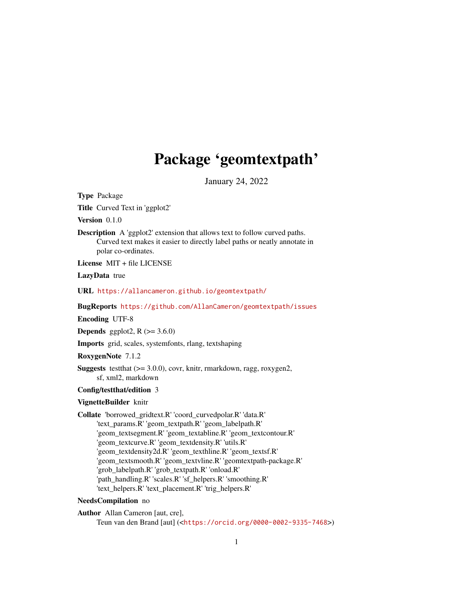# Package 'geomtextpath'

January 24, 2022

<span id="page-0-0"></span>Type Package

Title Curved Text in 'ggplot2'

Version 0.1.0

Description A 'ggplot2' extension that allows text to follow curved paths. Curved text makes it easier to directly label paths or neatly annotate in polar co-ordinates.

License MIT + file LICENSE

LazyData true

URL <https://allancameron.github.io/geomtextpath/>

BugReports <https://github.com/AllanCameron/geomtextpath/issues>

Encoding UTF-8

**Depends** ggplot2,  $R$  ( $> = 3.6.0$ )

Imports grid, scales, systemfonts, rlang, textshaping

RoxygenNote 7.1.2

Suggests testthat (>= 3.0.0), covr, knitr, rmarkdown, ragg, roxygen2, sf, xml2, markdown

Config/testthat/edition 3

#### VignetteBuilder knitr

Collate 'borrowed\_gridtext.R' 'coord\_curvedpolar.R' 'data.R' 'text\_params.R' 'geom\_textpath.R' 'geom\_labelpath.R' 'geom\_textsegment.R' 'geom\_textabline.R' 'geom\_textcontour.R' 'geom\_textcurve.R' 'geom\_textdensity.R' 'utils.R' 'geom\_textdensity2d.R' 'geom\_texthline.R' 'geom\_textsf.R' 'geom\_textsmooth.R' 'geom\_textvline.R' 'geomtextpath-package.R' 'grob\_labelpath.R' 'grob\_textpath.R' 'onload.R' 'path\_handling.R' 'scales.R' 'sf\_helpers.R' 'smoothing.R' 'text\_helpers.R' 'text\_placement.R' 'trig\_helpers.R'

#### NeedsCompilation no

Author Allan Cameron [aut, cre], Teun van den Brand [aut] (<<https://orcid.org/0000-0002-9335-7468>>)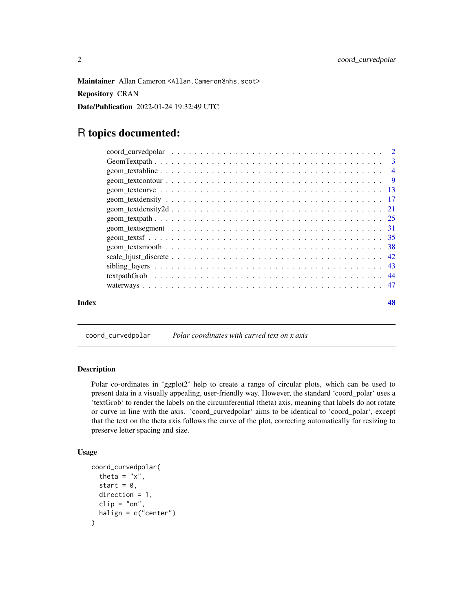<span id="page-1-0"></span>Maintainer Allan Cameron <Allan.Cameron@nhs.scot>

Repository CRAN

Date/Publication 2022-01-24 19:32:49 UTC

# R topics documented:

coord\_curvedpolar *Polar coordinates with curved text on x axis*

# Description

Polar co-ordinates in 'ggplot2' help to create a range of circular plots, which can be used to present data in a visually appealing, user-friendly way. However, the standard 'coord\_polar' uses a 'textGrob' to render the labels on the circumferential (theta) axis, meaning that labels do not rotate or curve in line with the axis. 'coord\_curvedpolar' aims to be identical to 'coord\_polar', except that the text on the theta axis follows the curve of the plot, correcting automatically for resizing to preserve letter spacing and size.

```
coord_curvedpolar(
  theta = "x",start = 0,
 direction = 1,
 clip = "on",halign = c("center")
)
```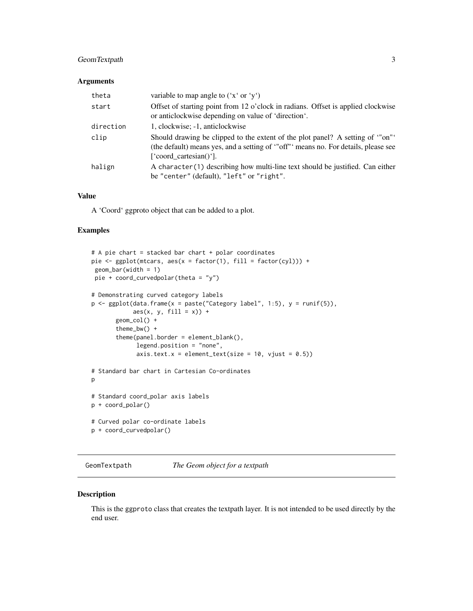# <span id="page-2-0"></span>GeomTextpath 3

#### Arguments

| theta     | variable to map angle to $(x'$ or $(y')$                                                                                                                                                    |
|-----------|---------------------------------------------------------------------------------------------------------------------------------------------------------------------------------------------|
| start     | Offset of starting point from 12 o'clock in radians. Offset is applied clockwise<br>or anticlockwise depending on value of 'direction'.                                                     |
| direction | 1. clockwise: -1. anticlockwise                                                                                                                                                             |
| clip      | Should drawing be clipped to the extent of the plot panel? A setting of "on"<br>(the default) means yes, and a setting of "off" means no. For details, please see<br>['coord_cartesian()']. |
| halign    | A character (1) describing how multi-line text should be justified. Can either<br>be "center" (default), "left" or "right".                                                                 |

# Value

A 'Coord' ggproto object that can be added to a plot.

#### Examples

```
# A pie chart = stacked bar chart + polar coordinates
pie <- gplot(mtcars, aes(x = factor(1), fill = factor(cyl))) +
geom_bar(width = 1)
pie + coord_curvedpolar(theta = "y")
# Demonstrating curved category labels
p \leftarrow \text{ggplot}(data-frame(x = paste("Category label", 1:5), y = runif(5)),aes(x, y, fill = x) +
       geom_col() +
       theme_bw() +
       theme(panel.border = element_blank(),
             legend.position = "none",
             axis.text.x = element_text(size = 10, vjust = 0.5))
# Standard bar chart in Cartesian Co-ordinates
p
# Standard coord_polar axis labels
p + coord_polar()
# Curved polar co-ordinate labels
p + coord_curvedpolar()
```
GeomTextpath *The Geom object for a textpath*

#### Description

This is the ggproto class that creates the textpath layer. It is not intended to be used directly by the end user.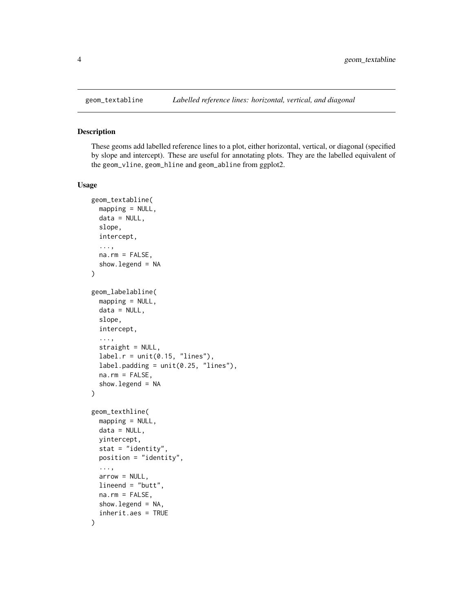#### <span id="page-3-2"></span>Description

These geoms add labelled reference lines to a plot, either horizontal, vertical, or diagonal (specified by slope and intercept). These are useful for annotating plots. They are the labelled equivalent of the geom\_vline, geom\_hline and geom\_abline from ggplot2.

```
geom_textabline(
 mapping = NULL,
 data = NULL,
  slope,
  intercept,
  ...,
 na.rm = FALSE,show.legend = NA
)
geom_labelabline(
  mapping = NULL,
 data = NULL,
  slope,
  intercept,
  ...,
  straight = NULL,
  label.r = unit(0.15, 'lines'),label.padding = unit(0.25, 'lines'),na.rm = FALSE,
  show.legend = NA
)
geom_texthline(
 mapping = NULL,data = NULL,yintercept,
  stat = "identity",
 position = "identity",
  ...,
  arrow = NULL,lineend = "butt",
  na.rm = FALSE,show.legend = NA,
  inherit.aes = TRUE
)
```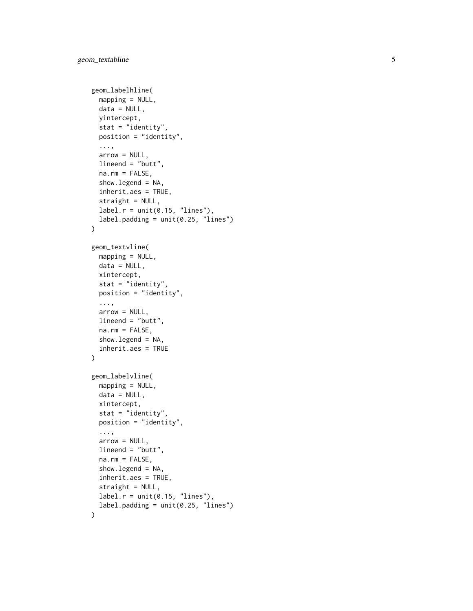```
geom_labelhline(
 mapping = NULL,data = NULL,yintercept,
  stat = "identity",
 position = "identity",
  ...,
  arrow = NULL,lineend = "butt",
  na.rm = FALSE,
  show.legend = NA,
  inherit.aes = TRUE,
  straight = NULL,
 label.r = unit(0.15, 'lines'),label.padding = unit(0.25, "lines")\mathcal{L}geom_textvline(
 mapping = NULL,
 data = NULL,xintercept,
  stat = "identity",
 position = "identity",
  ...,
  arrow = NULL,lineend = "butt",
 na.rm = FALSE,
  show.legend = NA,
  inherit.aes = TRUE
\mathcal{L}geom_labelvline(
 mapping = NULL,
 data = NULL,
 xintercept,
  stat = "identity",
 position = "identity",
  ...,
  arrow = NULL,
  lineend = "butt",
 na.rm = FALSE,
  show.legend = NA,
  inherit.aes = TRUE,
  straight = NULL,
  label.r = unit(0.15, 'lines'),label.padding = unit(0.25, 'lines')\mathcal{L}
```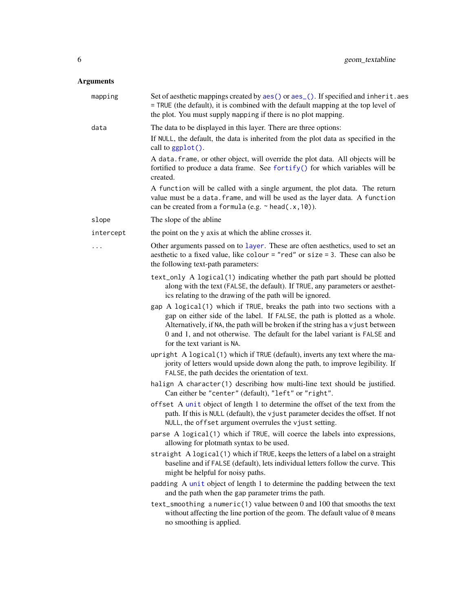<span id="page-5-0"></span>

| mapping   | Set of aesthetic mappings created by aes() or aes_(). If specified and inherit.aes<br>= TRUE (the default), it is combined with the default mapping at the top level of<br>the plot. You must supply mapping if there is no plot mapping.                                                                                                              |
|-----------|--------------------------------------------------------------------------------------------------------------------------------------------------------------------------------------------------------------------------------------------------------------------------------------------------------------------------------------------------------|
| data      | The data to be displayed in this layer. There are three options:<br>If NULL, the default, the data is inherited from the plot data as specified in the<br>call to ggplot().                                                                                                                                                                            |
|           | A data. frame, or other object, will override the plot data. All objects will be<br>fortified to produce a data frame. See fortify() for which variables will be<br>created.                                                                                                                                                                           |
|           | A function will be called with a single argument, the plot data. The return<br>value must be a data. frame, and will be used as the layer data. A function<br>can be created from a formula (e.g. $\sim$ head(.x, 10)).                                                                                                                                |
| slope     | The slope of the abline                                                                                                                                                                                                                                                                                                                                |
| intercept | the point on the y axis at which the abline crosses it.                                                                                                                                                                                                                                                                                                |
| .         | Other arguments passed on to layer. These are often aesthetics, used to set an<br>aesthetic to a fixed value, like colour = "red" or size = 3. These can also be<br>the following text-path parameters:                                                                                                                                                |
|           | text_only A logical(1) indicating whether the path part should be plotted<br>along with the text (FALSE, the default). If TRUE, any parameters or aesthet-<br>ics relating to the drawing of the path will be ignored.                                                                                                                                 |
|           | gap A logical(1) which if TRUE, breaks the path into two sections with a<br>gap on either side of the label. If FALSE, the path is plotted as a whole.<br>Alternatively, if NA, the path will be broken if the string has a vjust between<br>0 and 1, and not otherwise. The default for the label variant is FALSE and<br>for the text variant is NA. |
|           | upright A logical(1) which if TRUE (default), inverts any text where the ma-<br>jority of letters would upside down along the path, to improve legibility. If<br>FALSE, the path decides the orientation of text.                                                                                                                                      |
|           | halign A character(1) describing how multi-line text should be justified.<br>Can either be "center" (default), "left" or "right".                                                                                                                                                                                                                      |
|           | offset A unit object of length 1 to determine the offset of the text from the<br>path. If this is NULL (default), the vjust parameter decides the offset. If not<br>NULL, the offset argument overrules the vjust setting.                                                                                                                             |
|           | parse A logical(1) which if TRUE, will coerce the labels into expressions,<br>allowing for plotmath syntax to be used.                                                                                                                                                                                                                                 |
|           | straight A logical(1) which if TRUE, keeps the letters of a label on a straight<br>baseline and if FALSE (default), lets individual letters follow the curve. This<br>might be helpful for noisy paths.                                                                                                                                                |
|           | padding A unit object of length 1 to determine the padding between the text<br>and the path when the gap parameter trims the path.                                                                                                                                                                                                                     |
|           | $text_s$ moothing a numeric(1) value between 0 and 100 that smooths the text<br>without affecting the line portion of the geom. The default value of 0 means<br>no smoothing is applied.                                                                                                                                                               |
|           |                                                                                                                                                                                                                                                                                                                                                        |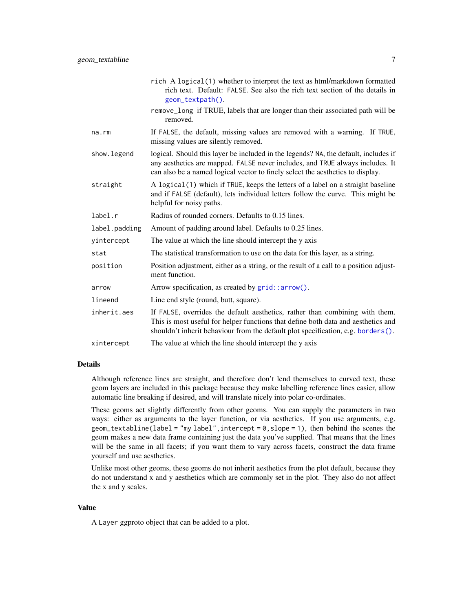<span id="page-6-0"></span>

|               | rich A logical(1) whether to interpret the text as html/markdown formatted<br>rich text. Default: FALSE. See also the rich text section of the details in<br>geom_textpath().<br>remove_long if TRUE, labels that are longer than their associated path will be<br>removed. |
|---------------|-----------------------------------------------------------------------------------------------------------------------------------------------------------------------------------------------------------------------------------------------------------------------------|
| na.rm         | If FALSE, the default, missing values are removed with a warning. If TRUE,<br>missing values are silently removed.                                                                                                                                                          |
| show.legend   | logical. Should this layer be included in the legends? NA, the default, includes if<br>any aesthetics are mapped. FALSE never includes, and TRUE always includes. It<br>can also be a named logical vector to finely select the aesthetics to display.                      |
| straight      | A logical (1) which if TRUE, keeps the letters of a label on a straight baseline<br>and if FALSE (default), lets individual letters follow the curve. This might be<br>helpful for noisy paths.                                                                             |
| label.r       | Radius of rounded corners. Defaults to 0.15 lines.                                                                                                                                                                                                                          |
| label.padding | Amount of padding around label. Defaults to 0.25 lines.                                                                                                                                                                                                                     |
| yintercept    | The value at which the line should intercept the y axis                                                                                                                                                                                                                     |
| stat          | The statistical transformation to use on the data for this layer, as a string.                                                                                                                                                                                              |
| position      | Position adjustment, either as a string, or the result of a call to a position adjust-<br>ment function.                                                                                                                                                                    |
| arrow         | Arrow specification, as created by grid::arrow().                                                                                                                                                                                                                           |
| lineend       | Line end style (round, butt, square).                                                                                                                                                                                                                                       |
| inherit.aes   | If FALSE, overrides the default aesthetics, rather than combining with them.<br>This is most useful for helper functions that define both data and aesthetics and<br>shouldn't inherit behaviour from the default plot specification, e.g. borders().                       |
| xintercept    | The value at which the line should intercept the y axis                                                                                                                                                                                                                     |

#### Details

Although reference lines are straight, and therefore don't lend themselves to curved text, these geom layers are included in this package because they make labelling reference lines easier, allow automatic line breaking if desired, and will translate nicely into polar co-ordinates.

These geoms act slightly differently from other geoms. You can supply the parameters in two ways: either as arguments to the layer function, or via aesthetics. If you use arguments, e.g. geom\_textabline(label = "my label",intercept = 0,slope = 1), then behind the scenes the geom makes a new data frame containing just the data you've supplied. That means that the lines will be the same in all facets; if you want them to vary across facets, construct the data frame yourself and use aesthetics.

Unlike most other geoms, these geoms do not inherit aesthetics from the plot default, because they do not understand x and y aesthetics which are commonly set in the plot. They also do not affect the x and y scales.

#### Value

A Layer ggproto object that can be added to a plot.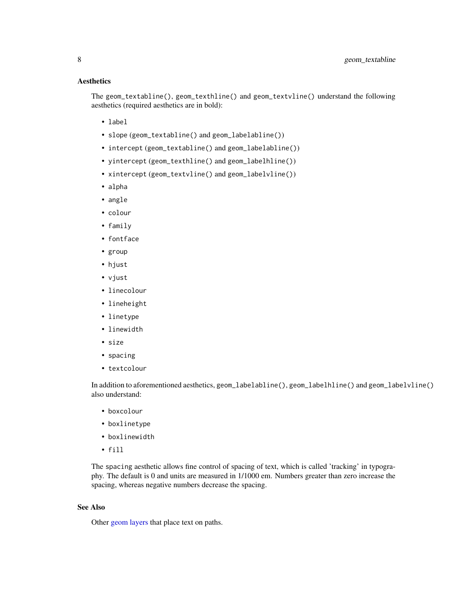# <span id="page-7-0"></span>**Aesthetics**

The geom\_textabline(), geom\_texthline() and geom\_textvline() understand the following aesthetics (required aesthetics are in bold):

- label
- slope (geom\_textabline() and geom\_labelabline())
- intercept (geom\_textabline() and geom\_labelabline())
- yintercept (geom\_texthline() and geom\_labelhline())
- xintercept (geom\_textvline() and geom\_labelvline())
- alpha
- angle
- colour
- family
- fontface
- group
- hjust
- vjust
- linecolour
- lineheight
- linetype
- linewidth
- size
- spacing
- textcolour

In addition to aforementioned aesthetics, geom\_labelabline(), geom\_labelhline() and geom\_labelvline() also understand:

- boxcolour
- boxlinetype
- boxlinewidth
- fill

The spacing aesthetic allows fine control of spacing of text, which is called 'tracking' in typography. The default is 0 and units are measured in 1/1000 em. Numbers greater than zero increase the spacing, whereas negative numbers decrease the spacing.

## See Also

Other [geom layers](#page-42-1) that place text on paths.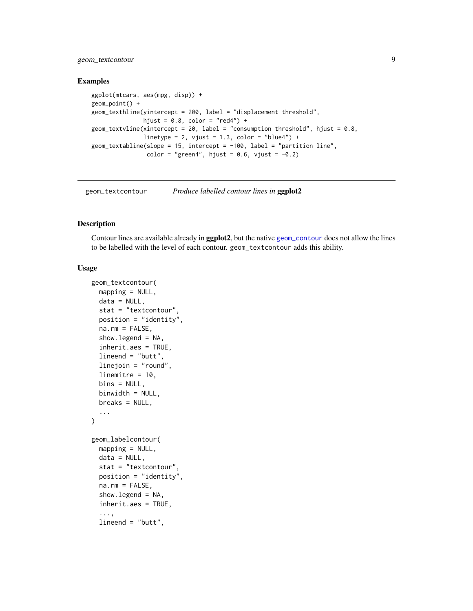# <span id="page-8-0"></span>geom\_textcontour 9

#### Examples

```
ggplot(mtcars, aes(mpg, disp)) +
geom_point() +
geom_texthline(yintercept = 200, label = "displacement threshold",
               hjust = 0.8, color = "red4") +
geom_textvline(xintercept = 20, label = "consumption threshold", hjust = 0.8,
               linetype = 2, vjust = 1.3, color = "blue4") +
geom_textabline(slope = 15, intercept = -100, label = "partition line",
                color = "green4", hjust = 0.6, vjust = -0.2)
```
<span id="page-8-1"></span>geom\_textcontour *Produce labelled contour lines in* ggplot2

#### <span id="page-8-2"></span>Description

Contour lines are available already in ggplot2, but the native [geom\\_contour](#page-0-0) does not allow the lines to be labelled with the level of each contour. geom\_textcontour adds this ability.

```
geom_textcontour(
  mapping = NULL,
  data = NULL,stat = "textcontour",
  position = "identity",
  na.rm = FALSE,
  show. legend = NA,
  inherit.aes = TRUE,
  lineend = "butt",
  linejoin = "round",
  linemitre = 10,
 bins = NULL,
  binwidth = NULL,breaks = NULL,
  ...
\lambdageom_labelcontour(
  mapping = NULL,
  data = NULL,stat = "textcontour",
  position = "identity",
  na.rm = FALSE,
  show. legend = NA,
  inherit.aes = TRUE,
  ...,
  lineend = "butt",
```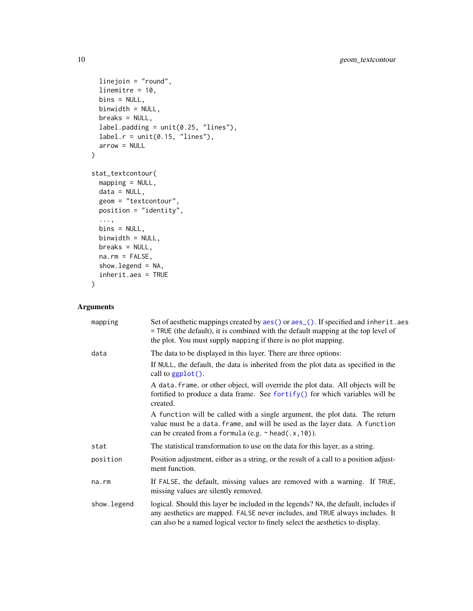```
linejoin = "round",
  linemitre = 10,
 bins = NULL,binwidth = NULL,
 breaks = NULL,
 label.padding = unit(0.25, 'lines'),label.r = unit(0.15, 'lines'),arrow = NULL
\mathcal{L}stat_textcontour(
 mapping = NULL,
 data = NULL,geom = "textcontour",
 position = "identity",
  ...,
 bins = NULL,
 binwidth = NULL,
 breaks = NULL,
 na.rm = FALSE,
  show.legend = NA,
  inherit.aes = TRUE
\mathcal{L}
```

| mapping     | Set of aesthetic mappings created by aes () or aes_(). If specified and inherit.aes<br>= TRUE (the default), it is combined with the default mapping at the top level of<br>the plot. You must supply mapping if there is no plot mapping.             |
|-------------|--------------------------------------------------------------------------------------------------------------------------------------------------------------------------------------------------------------------------------------------------------|
| data        | The data to be displayed in this layer. There are three options:                                                                                                                                                                                       |
|             | If NULL, the default, the data is inherited from the plot data as specified in the<br>call to $ggplot()$ .                                                                                                                                             |
|             | A data. frame, or other object, will override the plot data. All objects will be<br>fortified to produce a data frame. See fortify() for which variables will be<br>created.                                                                           |
|             | A function will be called with a single argument, the plot data. The return<br>value must be a data. frame, and will be used as the layer data. A function<br>can be created from a formula (e.g. $\sim$ head(.x, 10)).                                |
| stat        | The statistical transformation to use on the data for this layer, as a string.                                                                                                                                                                         |
| position    | Position adjustment, either as a string, or the result of a call to a position adjust-<br>ment function.                                                                                                                                               |
| na.rm       | If FALSE, the default, missing values are removed with a warning. If TRUE,<br>missing values are silently removed.                                                                                                                                     |
| show.legend | logical. Should this layer be included in the legends? NA, the default, includes if<br>any aesthetics are mapped. FALSE never includes, and TRUE always includes. It<br>can also be a named logical vector to finely select the aesthetics to display. |

<span id="page-9-0"></span>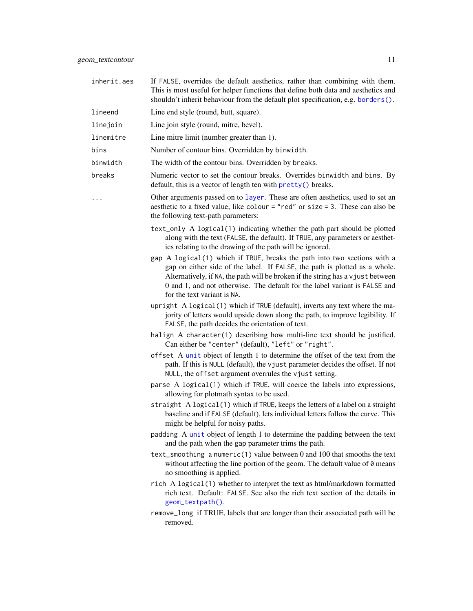<span id="page-10-0"></span>

| inherit.aes | If FALSE, overrides the default aesthetics, rather than combining with them.<br>This is most useful for helper functions that define both data and aesthetics and<br>shouldn't inherit behaviour from the default plot specification, e.g. borders().                                                                                                  |
|-------------|--------------------------------------------------------------------------------------------------------------------------------------------------------------------------------------------------------------------------------------------------------------------------------------------------------------------------------------------------------|
| lineend     | Line end style (round, butt, square).                                                                                                                                                                                                                                                                                                                  |
| linejoin    | Line join style (round, mitre, bevel).                                                                                                                                                                                                                                                                                                                 |
| linemitre   | Line mitre limit (number greater than 1).                                                                                                                                                                                                                                                                                                              |
| bins        | Number of contour bins. Overridden by binwidth.                                                                                                                                                                                                                                                                                                        |
| binwidth    | The width of the contour bins. Overridden by breaks.                                                                                                                                                                                                                                                                                                   |
| breaks      | Numeric vector to set the contour breaks. Overrides binwidth and bins. By<br>default, this is a vector of length ten with pretty() breaks.                                                                                                                                                                                                             |
|             | Other arguments passed on to layer. These are often aesthetics, used to set an<br>aesthetic to a fixed value, like colour = "red" or size = 3. These can also be<br>the following text-path parameters:                                                                                                                                                |
|             | text_only A logical(1) indicating whether the path part should be plotted<br>along with the text (FALSE, the default). If TRUE, any parameters or aesthet-<br>ics relating to the drawing of the path will be ignored.                                                                                                                                 |
|             | gap A logical(1) which if TRUE, breaks the path into two sections with a<br>gap on either side of the label. If FALSE, the path is plotted as a whole.<br>Alternatively, if NA, the path will be broken if the string has a vjust between<br>0 and 1, and not otherwise. The default for the label variant is FALSE and<br>for the text variant is NA. |
|             | upright A logical(1) which if TRUE (default), inverts any text where the ma-<br>jority of letters would upside down along the path, to improve legibility. If<br>FALSE, the path decides the orientation of text.                                                                                                                                      |
|             | halign A character(1) describing how multi-line text should be justified.<br>Can either be "center" (default), "left" or "right".                                                                                                                                                                                                                      |
|             | offset A unit object of length 1 to determine the offset of the text from the<br>path. If this is NULL (default), the vjust parameter decides the offset. If not<br>NULL, the offset argument overrules the vjust setting.                                                                                                                             |
|             | parse A logical(1) which if TRUE, will coerce the labels into expressions,<br>allowing for plotmath syntax to be used.                                                                                                                                                                                                                                 |
|             | straight A logical(1) which if TRUE, keeps the letters of a label on a straight<br>baseline and if FALSE (default), lets individual letters follow the curve. This<br>might be helpful for noisy paths.                                                                                                                                                |
|             | padding A unit object of length 1 to determine the padding between the text<br>and the path when the gap parameter trims the path.                                                                                                                                                                                                                     |
|             | $text_{smoothing}$ a numeric(1) value between 0 and 100 that smooths the text<br>without affecting the line portion of the geom. The default value of $\theta$ means<br>no smoothing is applied.                                                                                                                                                       |
|             | rich A logical(1) whether to interpret the text as html/markdown formatted<br>rich text. Default: FALSE. See also the rich text section of the details in<br>geom_textpath().                                                                                                                                                                          |
|             | remove_long if TRUE, labels that are longer than their associated path will be<br>removed.                                                                                                                                                                                                                                                             |
|             |                                                                                                                                                                                                                                                                                                                                                        |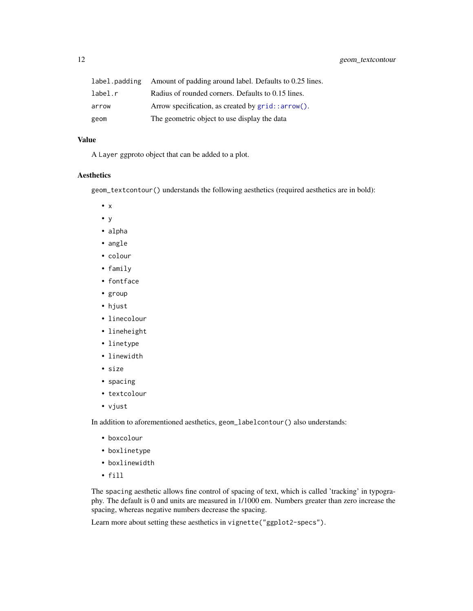<span id="page-11-0"></span>

| label.padding | Amount of padding around label. Defaults to 0.25 lines. |
|---------------|---------------------------------------------------------|
| label.r       | Radius of rounded corners. Defaults to 0.15 lines.      |
| arrow         | Arrow specification, as created by $grid$ : arrow().    |
| geom          | The geometric object to use display the data            |

# Value

A Layer ggproto object that can be added to a plot.

#### Aesthetics

geom\_textcontour() understands the following aesthetics (required aesthetics are in bold):

- x
- y
- alpha
- angle
- colour
- family
- fontface
- group
- hjust
- linecolour
- lineheight
- linetype
- linewidth
- size
- spacing
- textcolour
- vjust

In addition to aforementioned aesthetics, geom\_labelcontour() also understands:

- boxcolour
- boxlinetype
- boxlinewidth
- fill

The spacing aesthetic allows fine control of spacing of text, which is called 'tracking' in typography. The default is 0 and units are measured in 1/1000 em. Numbers greater than zero increase the spacing, whereas negative numbers decrease the spacing.

Learn more about setting these aesthetics in vignette("ggplot2-specs").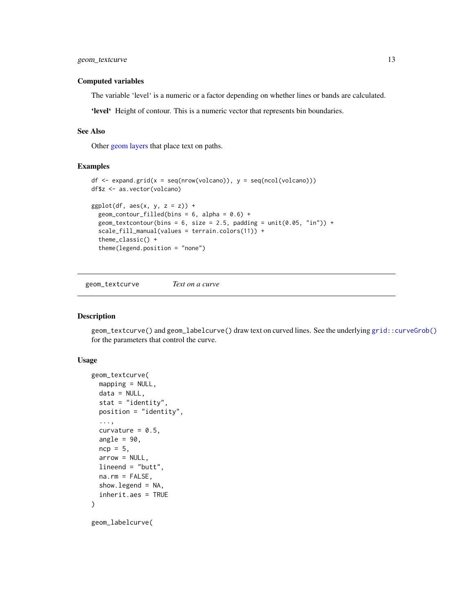#### <span id="page-12-0"></span>Computed variables

The variable 'level' is a numeric or a factor depending on whether lines or bands are calculated.

'level' Height of contour. This is a numeric vector that represents bin boundaries.

#### See Also

Other [geom layers](#page-42-1) that place text on paths.

#### Examples

```
df \leq expand.grid(x = seq(nrow(volcano)), y = seq(ncol(volcano)))
df$z <- as.vector(volcano)
ggplot(df, aes(x, y, z = z)) +
  geom_contour_filled(bins = 6, alpha = 0.6) +
  geom_textcontour(bins = 6, size = 2.5, padding = unit(0.05, "in")) +
  scale_fill_manual(values = terrain.colors(11)) +
  theme_classic() +
  theme(legend.position = "none")
```
<span id="page-12-1"></span>geom\_textcurve *Text on a curve*

#### <span id="page-12-2"></span>Description

geom\_textcurve() and geom\_labelcurve() draw text on curved lines. See the underlying [grid::curveGrob\(\)](#page-0-0) for the parameters that control the curve.

```
geom_textcurve(
 mapping = NULL,data = NULL,stat = "identity",
 position = "identity",
  ...,
 curvature = 0.5,
  angle = 90,
 ncp = 5,
  arrow = NULL,lineend = "butt",
  na.rm = FALSE,
  show.legend = NA,
  inherit.aes = TRUE
)
```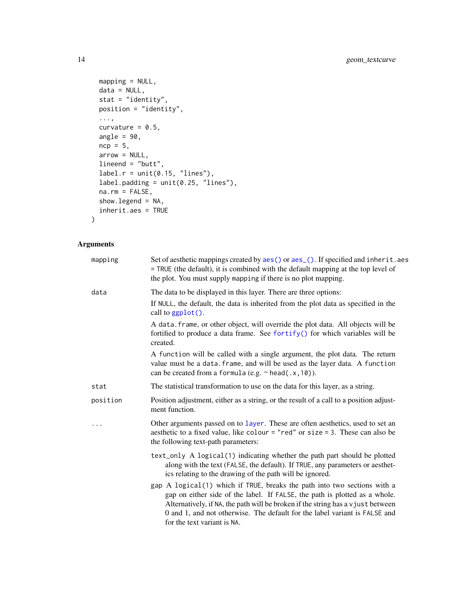```
mapping = NULL,
 data = NULL,stat = "identity",position = "identity",
 ...,
 curvature = 0.5,
 angle = 90,
 ncp = 5,
 arrow = NULL,
 lineend = "butt",
 label.r = unit(0.15, 'lines'),label.padding = unit(0.25, 'lines'),na.rm = FALSE,
 show.legend = NA,
 inherit.aes = TRUE
\mathcal{L}
```

| mapping  | Set of aesthetic mappings created by aes () or aes (). If specified and inherit. aes<br>= TRUE (the default), it is combined with the default mapping at the top level of<br>the plot. You must supply mapping if there is no plot mapping.                                                                                                            |
|----------|--------------------------------------------------------------------------------------------------------------------------------------------------------------------------------------------------------------------------------------------------------------------------------------------------------------------------------------------------------|
| data     | The data to be displayed in this layer. There are three options:                                                                                                                                                                                                                                                                                       |
|          | If NULL, the default, the data is inherited from the plot data as specified in the<br>call to $ggplot()$ .                                                                                                                                                                                                                                             |
|          | A data. frame, or other object, will override the plot data. All objects will be<br>fortified to produce a data frame. See fortify() for which variables will be<br>created.                                                                                                                                                                           |
|          | A function will be called with a single argument, the plot data. The return<br>value must be a data. frame, and will be used as the layer data. A function<br>can be created from a formula (e.g. $\sim$ head(.x, 10)).                                                                                                                                |
| stat     | The statistical transformation to use on the data for this layer, as a string.                                                                                                                                                                                                                                                                         |
| position | Position adjustment, either as a string, or the result of a call to a position adjust-<br>ment function.                                                                                                                                                                                                                                               |
|          | Other arguments passed on to layer. These are often aesthetics, used to set an<br>aesthetic to a fixed value, like colour = "red" or size = 3. These can also be<br>the following text-path parameters:                                                                                                                                                |
|          | text_only A logical(1) indicating whether the path part should be plotted<br>along with the text (FALSE, the default). If TRUE, any parameters or aesthet-<br>ics relating to the drawing of the path will be ignored.                                                                                                                                 |
|          | gap A logical(1) which if TRUE, breaks the path into two sections with a<br>gap on either side of the label. If FALSE, the path is plotted as a whole.<br>Alternatively, if NA, the path will be broken if the string has a vjust between<br>0 and 1, and not otherwise. The default for the label variant is FALSE and<br>for the text variant is NA. |

<span id="page-13-0"></span>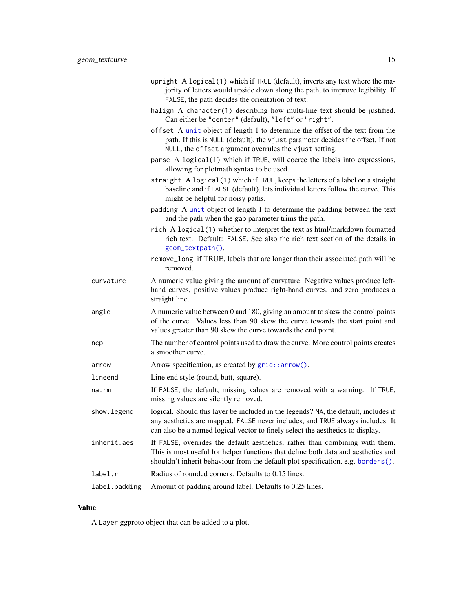<span id="page-14-0"></span>

|               | upright A logical (1) which if TRUE (default), inverts any text where the ma-<br>jority of letters would upside down along the path, to improve legibility. If<br>FALSE, the path decides the orientation of text.                                     |
|---------------|--------------------------------------------------------------------------------------------------------------------------------------------------------------------------------------------------------------------------------------------------------|
|               | halign A character(1) describing how multi-line text should be justified.<br>Can either be "center" (default), "left" or "right".                                                                                                                      |
|               | offset A unit object of length 1 to determine the offset of the text from the<br>path. If this is NULL (default), the vjust parameter decides the offset. If not<br>NULL, the offset argument overrules the vjust setting.                             |
|               | parse A logical(1) which if TRUE, will coerce the labels into expressions,<br>allowing for plotmath syntax to be used.                                                                                                                                 |
|               | straight A logical(1) which if TRUE, keeps the letters of a label on a straight<br>baseline and if FALSE (default), lets individual letters follow the curve. This<br>might be helpful for noisy paths.                                                |
|               | padding A unit object of length 1 to determine the padding between the text<br>and the path when the gap parameter trims the path.                                                                                                                     |
|               | rich A logical(1) whether to interpret the text as html/markdown formatted<br>rich text. Default: FALSE. See also the rich text section of the details in<br>geom_textpath().                                                                          |
|               | remove_long if TRUE, labels that are longer than their associated path will be<br>removed.                                                                                                                                                             |
| curvature     | A numeric value giving the amount of curvature. Negative values produce left-<br>hand curves, positive values produce right-hand curves, and zero produces a<br>straight line.                                                                         |
| angle         | A numeric value between 0 and 180, giving an amount to skew the control points<br>of the curve. Values less than 90 skew the curve towards the start point and<br>values greater than 90 skew the curve towards the end point.                         |
| ncp           | The number of control points used to draw the curve. More control points creates<br>a smoother curve.                                                                                                                                                  |
| arrow         | Arrow specification, as created by grid::arrow().                                                                                                                                                                                                      |
| lineend       | Line end style (round, butt, square).                                                                                                                                                                                                                  |
| na.rm         | If FALSE, the default, missing values are removed with a warning. If TRUE,<br>missing values are silently removed.                                                                                                                                     |
| show. legend  | logical. Should this layer be included in the legends? NA, the default, includes if<br>any aesthetics are mapped. FALSE never includes, and TRUE always includes. It<br>can also be a named logical vector to finely select the aesthetics to display. |
| inherit.aes   | If FALSE, overrides the default aesthetics, rather than combining with them.<br>This is most useful for helper functions that define both data and aesthetics and<br>shouldn't inherit behaviour from the default plot specification, e.g. borders().  |
| label.r       | Radius of rounded corners. Defaults to 0.15 lines.                                                                                                                                                                                                     |
| label.padding | Amount of padding around label. Defaults to 0.25 lines.                                                                                                                                                                                                |
|               |                                                                                                                                                                                                                                                        |

# Value

A Layer ggproto object that can be added to a plot.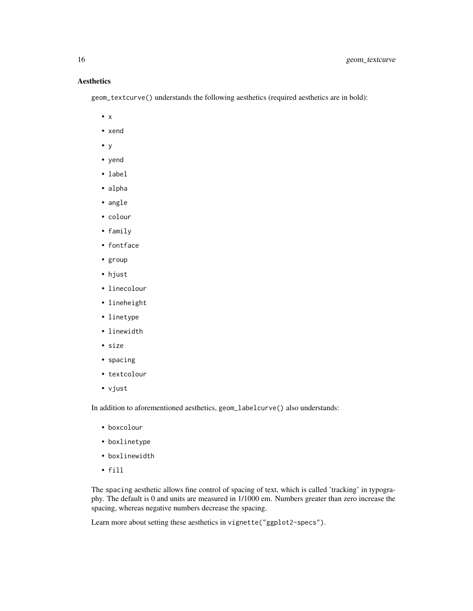# Aesthetics

geom\_textcurve() understands the following aesthetics (required aesthetics are in bold):

- x
- xend
- y
- yend
- label
- alpha
- angle
- colour
- family
- fontface
- group
- hjust
- linecolour
- lineheight
- linetype
- linewidth
- size
- spacing
- textcolour
- vjust

In addition to aforementioned aesthetics, geom\_labelcurve() also understands:

- boxcolour
- boxlinetype
- boxlinewidth
- fill

The spacing aesthetic allows fine control of spacing of text, which is called 'tracking' in typography. The default is 0 and units are measured in 1/1000 em. Numbers greater than zero increase the spacing, whereas negative numbers decrease the spacing.

Learn more about setting these aesthetics in vignette("ggplot2-specs").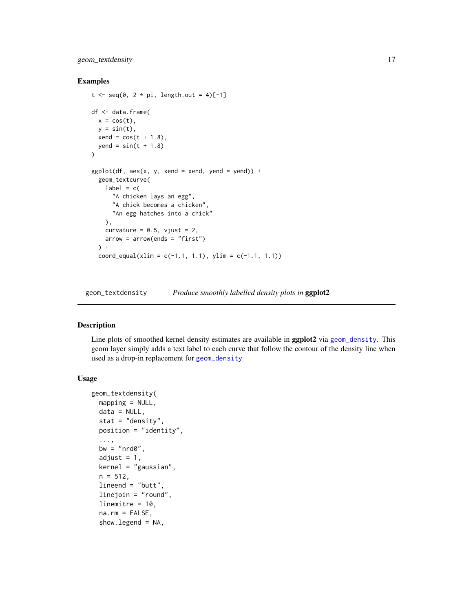# <span id="page-16-0"></span>geom\_textdensity 17

#### Examples

```
t \leq -\text{seq}(0, 2 \times \text{pi}, \text{length.out} = 4)[-1]df <- data.frame(
  x = cos(t),
  y = sin(t),
  xend = cos(t + 1.8),
  yend = sin(t + 1.8)\lambdaggplot(df, aes(x, y, xend = xend, yend = yend)) +geom_textcurve(
    label = c("A chicken lays an egg",
      "A chick becomes a chicken",
      "An egg hatches into a chick"
    ),
    curvature = 0.5, vjust = 2,
    arrow = arrow(ends = "first")
  ) +coord_equal(xlim = c(-1.1, 1.1), ylim = c(-1.1, 1.1))
```
<span id="page-16-1"></span>geom\_textdensity *Produce smoothly labelled density plots in* ggplot2

#### <span id="page-16-2"></span>Description

Line plots of smoothed kernel density estimates are available in **ggplot2** via [geom\\_density](#page-0-0). This geom layer simply adds a text label to each curve that follow the contour of the density line when used as a drop-in replacement for [geom\\_density](#page-0-0)

```
geom_textdensity(
 mapping = NULL,
 data = NULL,
  stat = "density",
 position = "identity",
  ...,
 bw = "nrd0",adjust = 1,kernel = "gaussian",
 n = 512,
  lineend = "butt",
  linejoin = "round",
  linemitre = 10,
  na.rm = FALSE,show.legend = NA,
```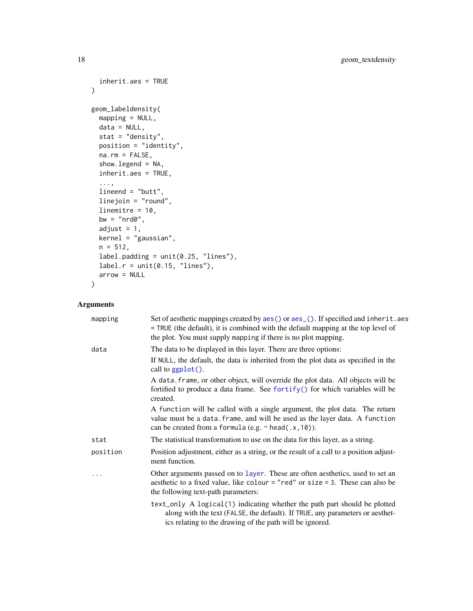```
inherit.aes = TRUE
\lambdageom_labeldensity(
 mapping = NULL,
 data = NULL,
 stat = "density",
 position = "identity",
 na.rm = FALSE,
  show.legend = NA,
  inherit.aes = TRUE,
  ...,
 lineend = "butt",
 linejoin = "round",
 linemitre = 10,
 bw = "nrd0",adjust = 1,kernel = "gaussian",
 n = 512,label.padding = unit(0.25, 'lines'),label.r = unit(0.15, 'lines'),arrow = NULL
\mathcal{L}
```

| mapping  | Set of aesthetic mappings created by aes() or aes_(). If specified and inherit.aes<br>= TRUE (the default), it is combined with the default mapping at the top level of<br>the plot. You must supply mapping if there is no plot mapping. |
|----------|-------------------------------------------------------------------------------------------------------------------------------------------------------------------------------------------------------------------------------------------|
| data     | The data to be displayed in this layer. There are three options:<br>If NULL, the default, the data is inherited from the plot data as specified in the<br>call to $ggplot()$ .                                                            |
|          | A data frame, or other object, will override the plot data. All objects will be<br>fortified to produce a data frame. See fortify() for which variables will be<br>created.                                                               |
|          | A function will be called with a single argument, the plot data. The return<br>value must be a data. frame, and will be used as the layer data. A function<br>can be created from a formula (e.g. $\sim$ head(.x, 10)).                   |
| stat     | The statistical transformation to use on the data for this layer, as a string.                                                                                                                                                            |
| position | Position adjustment, either as a string, or the result of a call to a position adjust-<br>ment function.                                                                                                                                  |
| $\cdots$ | Other arguments passed on to layer. These are often aesthetics, used to set an<br>aesthetic to a fixed value, like colour = "red" or size = 3. These can also be<br>the following text-path parameters:                                   |
|          | text_only A logical(1) indicating whether the path part should be plotted<br>along with the text (FALSE, the default). If TRUE, any parameters or aesthet-<br>ics relating to the drawing of the path will be ignored.                    |

<span id="page-17-0"></span>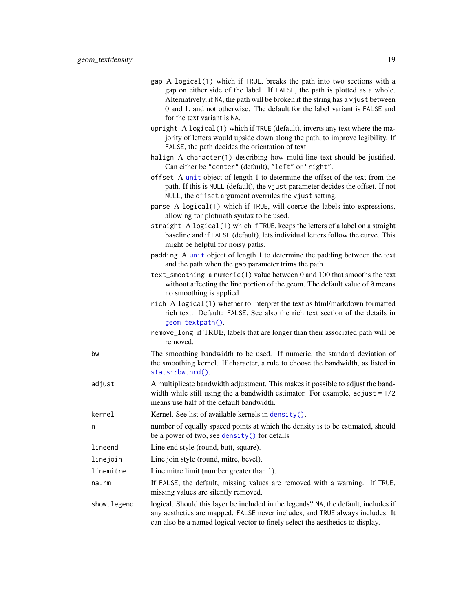<span id="page-18-0"></span>

|             | gap A logical(1) which if TRUE, breaks the path into two sections with a<br>gap on either side of the label. If FALSE, the path is plotted as a whole.<br>Alternatively, if NA, the path will be broken if the string has a vjust between<br>0 and 1, and not otherwise. The default for the label variant is FALSE and<br>for the text variant is NA. |
|-------------|--------------------------------------------------------------------------------------------------------------------------------------------------------------------------------------------------------------------------------------------------------------------------------------------------------------------------------------------------------|
|             | upright A logical(1) which if TRUE (default), inverts any text where the ma-<br>jority of letters would upside down along the path, to improve legibility. If<br>FALSE, the path decides the orientation of text.                                                                                                                                      |
|             | halign A character(1) describing how multi-line text should be justified.<br>Can either be "center" (default), "left" or "right".                                                                                                                                                                                                                      |
|             | offset A unit object of length 1 to determine the offset of the text from the<br>path. If this is NULL (default), the vjust parameter decides the offset. If not<br>NULL, the offset argument overrules the vjust setting.                                                                                                                             |
|             | parse A logical(1) which if TRUE, will coerce the labels into expressions,<br>allowing for plotmath syntax to be used.                                                                                                                                                                                                                                 |
|             | straight A logical(1) which if TRUE, keeps the letters of a label on a straight<br>baseline and if FALSE (default), lets individual letters follow the curve. This<br>might be helpful for noisy paths.                                                                                                                                                |
|             | padding A unit object of length 1 to determine the padding between the text<br>and the path when the gap parameter trims the path.                                                                                                                                                                                                                     |
|             | text_smoothing a numeric(1) value between 0 and 100 that smooths the text<br>without affecting the line portion of the geom. The default value of 0 means<br>no smoothing is applied.                                                                                                                                                                  |
|             | rich A logical(1) whether to interpret the text as html/markdown formatted<br>rich text. Default: FALSE. See also the rich text section of the details in<br>geom_textpath().                                                                                                                                                                          |
|             | remove_long if TRUE, labels that are longer than their associated path will be<br>removed.                                                                                                                                                                                                                                                             |
| bw          | The smoothing bandwidth to be used. If numeric, the standard deviation of<br>the smoothing kernel. If character, a rule to choose the bandwidth, as listed in<br>stats::bw.nrd().                                                                                                                                                                      |
| adjust      | A multiplicate bandwidth adjustment. This makes it possible to adjust the band-<br>width while still using the a bandwidth estimator. For example, $adjust = 1/2$<br>means use half of the default bandwidth.                                                                                                                                          |
| kernel      | Kernel. See list of available kernels in density().                                                                                                                                                                                                                                                                                                    |
| n           | number of equally spaced points at which the density is to be estimated, should<br>be a power of two, see density () for details                                                                                                                                                                                                                       |
| lineend     | Line end style (round, butt, square).                                                                                                                                                                                                                                                                                                                  |
| linejoin    | Line join style (round, mitre, bevel).                                                                                                                                                                                                                                                                                                                 |
| linemitre   | Line mitre limit (number greater than 1).                                                                                                                                                                                                                                                                                                              |
| na.rm       | If FALSE, the default, missing values are removed with a warning. If TRUE,<br>missing values are silently removed.                                                                                                                                                                                                                                     |
| show.legend | logical. Should this layer be included in the legends? NA, the default, includes if<br>any aesthetics are mapped. FALSE never includes, and TRUE always includes. It<br>can also be a named logical vector to finely select the aesthetics to display.                                                                                                 |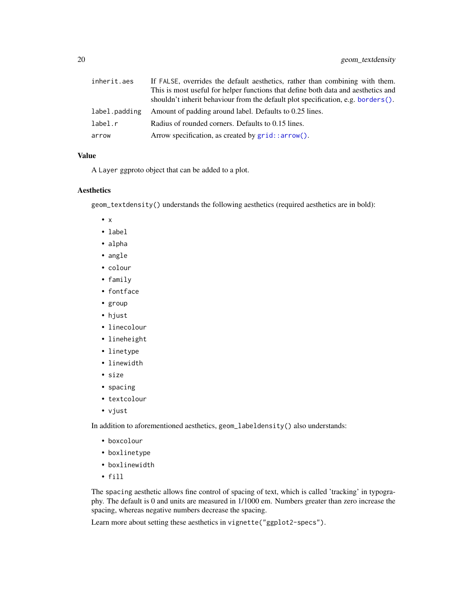<span id="page-19-0"></span>

| inherit.aes   | If FALSE, overrides the default aesthetics, rather than combining with them.      |
|---------------|-----------------------------------------------------------------------------------|
|               | This is most useful for helper functions that define both data and aesthetics and |
|               | shouldn't inherit behaviour from the default plot specification, e.g. borders().  |
| label.padding | Amount of padding around label. Defaults to 0.25 lines.                           |
| label.r       | Radius of rounded corners. Defaults to 0.15 lines.                                |
| arrow         | Arrow specification, as created by $grid$ : arrow().                              |

# Value

A Layer ggproto object that can be added to a plot.

# Aesthetics

geom\_textdensity() understands the following aesthetics (required aesthetics are in bold):

- x
- label
- alpha
- angle
- colour
- family
- fontface
- group
- hjust
- linecolour
- lineheight
- linetype
- linewidth
- size
- spacing
- textcolour
- vjust

In addition to aforementioned aesthetics, geom\_labeldensity() also understands:

- boxcolour
- boxlinetype
- boxlinewidth
- fill

The spacing aesthetic allows fine control of spacing of text, which is called 'tracking' in typography. The default is 0 and units are measured in 1/1000 em. Numbers greater than zero increase the spacing, whereas negative numbers decrease the spacing.

Learn more about setting these aesthetics in vignette("ggplot2-specs").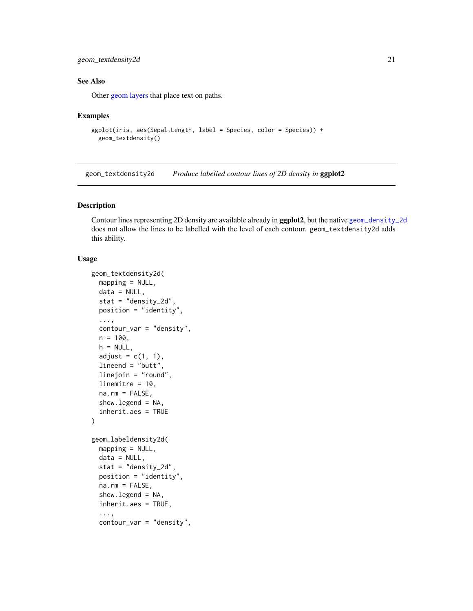# <span id="page-20-0"></span>geom\_textdensity2d 21

# See Also

Other [geom layers](#page-42-1) that place text on paths.

#### Examples

```
ggplot(iris, aes(Sepal.Length, label = Species, color = Species)) +
 geom_textdensity()
```
<span id="page-20-1"></span>geom\_textdensity2d *Produce labelled contour lines of 2D density in* ggplot2

#### <span id="page-20-2"></span>Description

Contour lines representing 2D density are available already in ggplot2, but the native [geom\\_density\\_2d](#page-0-0) does not allow the lines to be labelled with the level of each contour. geom\_textdensity2d adds this ability.

```
geom_textdensity2d(
  mapping = NULL,
  data = NULL,stat = "density_2d",
 position = "identity",
  ...,
  contour_var = "density",
  n = 100.
 h = NULL,adjust = c(1, 1),
  lineend = "butt",
  linejoin = "round",
  linemitre = 10,
  na.rm = FALSE,show.legend = NA,
  inherit.aes = TRUE
)
geom_labeldensity2d(
  mapping = NULL,
  data = NULL,
  stat = "density_2d",
  position = "identity",
  na.rm = FALSE,
  show. legend = NA,
  inherit.aes = TRUE,
  ...,
  contour_var = "density",
```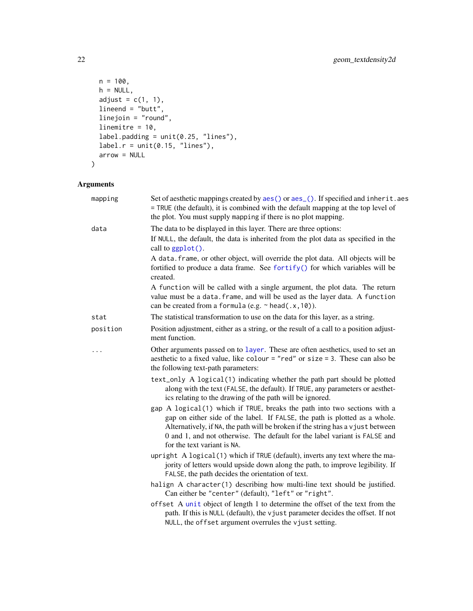```
n = 100,h = NULL,adjust = c(1, 1),
 lineend = "butt",
 linejoin = "round",
 linemitre = 10,
 label.padding = unit(0.25, 'lines'),label.r = unit(0.15, 'lines'),arrow = NULL
\mathcal{L}
```

| mapping  | Set of aesthetic mappings created by aes() or aes_(). If specified and inherit.aes<br>= TRUE (the default), it is combined with the default mapping at the top level of<br>the plot. You must supply mapping if there is no plot mapping.                                                                                                              |  |
|----------|--------------------------------------------------------------------------------------------------------------------------------------------------------------------------------------------------------------------------------------------------------------------------------------------------------------------------------------------------------|--|
| data     | The data to be displayed in this layer. There are three options:<br>If NULL, the default, the data is inherited from the plot data as specified in the                                                                                                                                                                                                 |  |
|          | call to ggplot().                                                                                                                                                                                                                                                                                                                                      |  |
|          | A data. frame, or other object, will override the plot data. All objects will be<br>fortified to produce a data frame. See fortify() for which variables will be<br>created.                                                                                                                                                                           |  |
|          | A function will be called with a single argument, the plot data. The return<br>value must be a data. frame, and will be used as the layer data. A function<br>can be created from a formula (e.g. $\sim$ head(.x, 10)).                                                                                                                                |  |
| stat     | The statistical transformation to use on the data for this layer, as a string.                                                                                                                                                                                                                                                                         |  |
| position | Position adjustment, either as a string, or the result of a call to a position adjust-<br>ment function.                                                                                                                                                                                                                                               |  |
| .        | Other arguments passed on to layer. These are often aesthetics, used to set an<br>aesthetic to a fixed value, like colour = "red" or size = 3. These can also be<br>the following text-path parameters:                                                                                                                                                |  |
|          | text_only A logical(1) indicating whether the path part should be plotted<br>along with the text (FALSE, the default). If TRUE, any parameters or aesthet-<br>ics relating to the drawing of the path will be ignored.                                                                                                                                 |  |
|          | gap A logical(1) which if TRUE, breaks the path into two sections with a<br>gap on either side of the label. If FALSE, the path is plotted as a whole.<br>Alternatively, if NA, the path will be broken if the string has a vjust between<br>0 and 1, and not otherwise. The default for the label variant is FALSE and<br>for the text variant is NA. |  |
|          | upright A logical(1) which if TRUE (default), inverts any text where the ma-<br>jority of letters would upside down along the path, to improve legibility. If<br>FALSE, the path decides the orientation of text.                                                                                                                                      |  |
|          | halign A character(1) describing how multi-line text should be justified.<br>Can either be "center" (default), "left" or "right".                                                                                                                                                                                                                      |  |
|          | offset A unit object of length 1 to determine the offset of the text from the<br>path. If this is NULL (default), the vjust parameter decides the offset. If not<br>NULL, the offset argument overrules the vjust setting.                                                                                                                             |  |
|          |                                                                                                                                                                                                                                                                                                                                                        |  |

<span id="page-21-0"></span>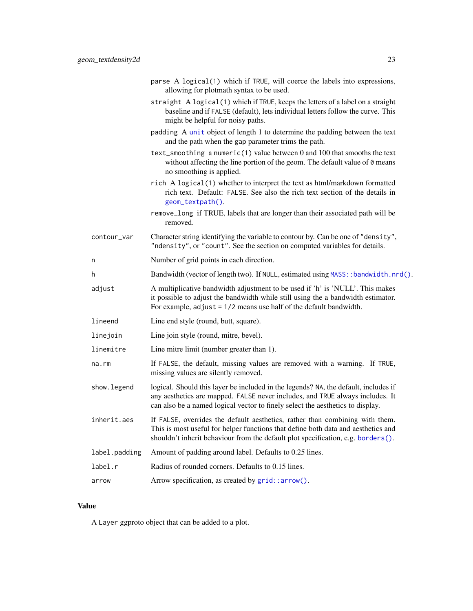<span id="page-22-0"></span>

|               | parse A logical(1) which if TRUE, will coerce the labels into expressions,<br>allowing for plotmath syntax to be used.                                                                                                                                 |
|---------------|--------------------------------------------------------------------------------------------------------------------------------------------------------------------------------------------------------------------------------------------------------|
|               | straight A logical(1) which if TRUE, keeps the letters of a label on a straight<br>baseline and if FALSE (default), lets individual letters follow the curve. This<br>might be helpful for noisy paths.                                                |
|               | padding A unit object of length 1 to determine the padding between the text<br>and the path when the gap parameter trims the path.                                                                                                                     |
|               | $text_{smoothing}$ a numeric(1) value between 0 and 100 that smooths the text<br>without affecting the line portion of the geom. The default value of 0 means<br>no smoothing is applied.                                                              |
|               | rich A logical(1) whether to interpret the text as html/markdown formatted<br>rich text. Default: FALSE. See also the rich text section of the details in<br>geom_textpath().                                                                          |
|               | remove_long if TRUE, labels that are longer than their associated path will be<br>removed.                                                                                                                                                             |
| contour_var   | Character string identifying the variable to contour by. Can be one of "density",<br>"ndensity", or "count". See the section on computed variables for details.                                                                                        |
| n             | Number of grid points in each direction.                                                                                                                                                                                                               |
| h.            | Bandwidth (vector of length two). If NULL, estimated using MASS:: bandwidth.nrd().                                                                                                                                                                     |
| adjust        | A multiplicative bandwidth adjustment to be used if 'h' is 'NULL'. This makes<br>it possible to adjust the bandwidth while still using the a bandwidth estimator.<br>For example, $adjust = 1/2$ means use half of the default bandwidth.              |
| lineend       | Line end style (round, butt, square).                                                                                                                                                                                                                  |
| linejoin      | Line join style (round, mitre, bevel).                                                                                                                                                                                                                 |
| linemitre     | Line mitre limit (number greater than 1).                                                                                                                                                                                                              |
| na.rm         | If FALSE, the default, missing values are removed with a warning. If TRUE,<br>missing values are silently removed.                                                                                                                                     |
| show. legend  | logical. Should this layer be included in the legends? NA, the default, includes if<br>any aesthetics are mapped. FALSE never includes, and TRUE always includes. It<br>can also be a named logical vector to finely select the aesthetics to display. |
| inherit.aes   | If FALSE, overrides the default aesthetics, rather than combining with them.<br>This is most useful for helper functions that define both data and aesthetics and<br>shouldn't inherit behaviour from the default plot specification, e.g. borders().  |
| label.padding | Amount of padding around label. Defaults to 0.25 lines.                                                                                                                                                                                                |
| label.r       | Radius of rounded corners. Defaults to 0.15 lines.                                                                                                                                                                                                     |
| arrow         | Arrow specification, as created by grid::arrow().                                                                                                                                                                                                      |

# Value

A Layer ggproto object that can be added to a plot.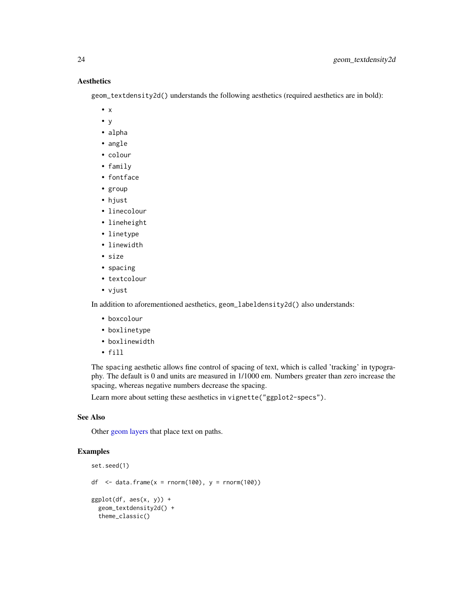# Aesthetics

geom\_textdensity2d() understands the following aesthetics (required aesthetics are in bold):

- x
- y
- alpha
- angle
- colour
- family
- fontface
- group
- hjust
- linecolour
- lineheight
- linetype
- linewidth
- size
- spacing
- textcolour
- vjust

In addition to aforementioned aesthetics, geom\_labeldensity2d() also understands:

- boxcolour
- boxlinetype
- boxlinewidth
- fill

The spacing aesthetic allows fine control of spacing of text, which is called 'tracking' in typography. The default is 0 and units are measured in 1/1000 em. Numbers greater than zero increase the spacing, whereas negative numbers decrease the spacing.

Learn more about setting these aesthetics in vignette("ggplot2-specs").

#### See Also

Other [geom layers](#page-42-1) that place text on paths.

#### Examples

```
set.seed(1)
df \le data.frame(x = rnorm(100), y = rnorm(100))
ggplot(df, aes(x, y)) +
 geom_textdensity2d() +
 theme_classic()
```
<span id="page-23-0"></span>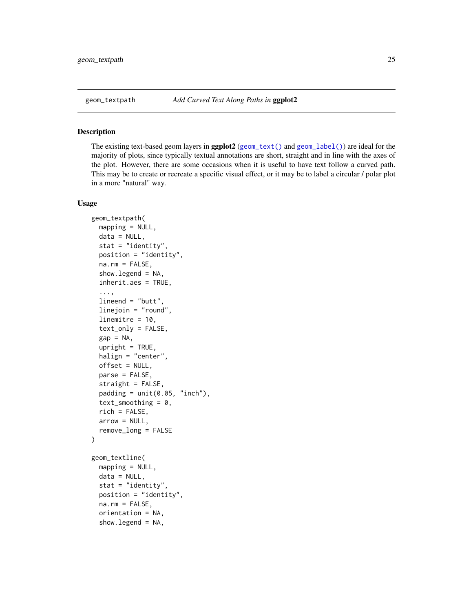#### <span id="page-24-2"></span><span id="page-24-1"></span><span id="page-24-0"></span>Description

The existing text-based geom layers in  $ggplot2$  ([geom\\_text\(\)](#page-0-0) and [geom\\_label\(\)](#page-0-0)) are ideal for the majority of plots, since typically textual annotations are short, straight and in line with the axes of the plot. However, there are some occasions when it is useful to have text follow a curved path. This may be to create or recreate a specific visual effect, or it may be to label a circular / polar plot in a more "natural" way.

```
geom_textpath(
 mapping = NULL,
 data = NULL,stat = "identity",
 position = "identity",
 na.rm = FALSE,
  show.legend = NA,
  inherit.aes = TRUE,
  ...,
  lineend = "butt",linejoin = "round",
  linemitre = 10.
  text_only = FALSE,
  gap = NA,
  upright = TRUE,halign = "center",
 offset = NULL,
  parse = FALSE,
  straight = FALSE,
  padding = unit(0.05, "inch"),text_smoothing = 0,
  rich = FALSE,
  arrow = NULL,remove_long = FALSE
)
geom_textline(
 mapping = NULL,
 data = NULL,stat = "identity",position = "identity",
 na.rm = FALSE,orientation = NA,
  show.legend = NA,
```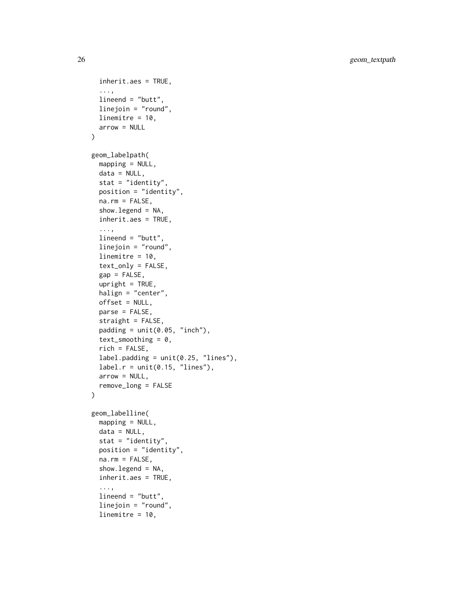```
inherit.aes = TRUE,
  ...,
  lineend = "butt",
  linejoin = "round",
  linemitre = 10,
 arrow = NULL
\lambdageom_labelpath(
 mapping = NULL,
  data = NULL,stat = "identity",
 position = "identity",
  na.rm = FALSE,show.legend = NA,
  inherit.aes = TRUE,
  ...,
  lineend = "butt",
  linejoin = "round",
  linemitre = 10,
  text_only = FALSE,
  gap = FALSE,upright = TRUE,halign = "center",
  offset = NULL,
 parse = FALSE,
  straight = FALSE,
  padding = unit(0.05, "inch"),text_smoothing = 0,
  rich = FALSE,label.padding = unit(0.25, 'lines'),label.r = unit(0.15, 'lines'),arrow = NULL,remove_long = FALSE
\mathcal{L}geom_labelline(
 mapping = NULL,
  data = NULL,stat = "identity",
 position = "identity",
  na.rm = FALSE,show.legend = NA,
  inherit.aes = TRUE,
  ...,
  lineend = "butt",
  linejoin = "round",
  linemitre = 10,
```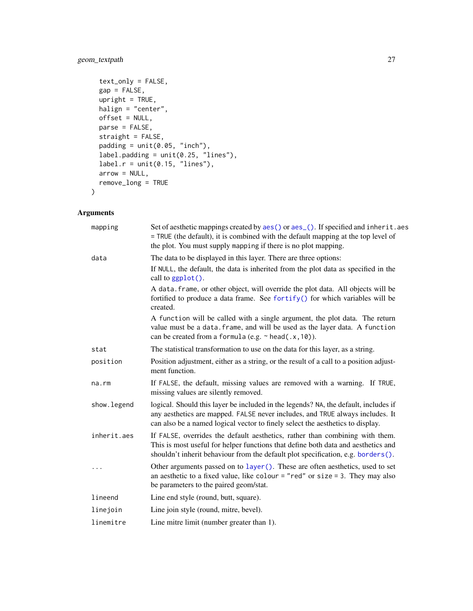# <span id="page-26-0"></span>geom\_textpath 27

```
text_only = FALSE,
 gap = FALSE,upright = TRUE,halign = "center",
 offset = NULL,
 parse = FALSE,
 straight = FALSE,
 padding = unit(0.05, 'inch'),
 label.padding = unit(0.25, 'lines'),label.r = unit(0.15, 'lines'),arrow = NULL,
 remove_long = TRUE
\mathcal{L}
```

| mapping     | Set of aesthetic mappings created by aes() or aes_(). If specified and inherit.aes<br>= TRUE (the default), it is combined with the default mapping at the top level of<br>the plot. You must supply mapping if there is no plot mapping.              |
|-------------|--------------------------------------------------------------------------------------------------------------------------------------------------------------------------------------------------------------------------------------------------------|
| data        | The data to be displayed in this layer. There are three options:                                                                                                                                                                                       |
|             | If NULL, the default, the data is inherited from the plot data as specified in the<br>call to ggplot().                                                                                                                                                |
|             | A data. frame, or other object, will override the plot data. All objects will be<br>fortified to produce a data frame. See fortify() for which variables will be<br>created.                                                                           |
|             | A function will be called with a single argument, the plot data. The return<br>value must be a data. frame, and will be used as the layer data. A function<br>can be created from a formula (e.g. $\sim$ head(.x, 10)).                                |
| stat        | The statistical transformation to use on the data for this layer, as a string.                                                                                                                                                                         |
| position    | Position adjustment, either as a string, or the result of a call to a position adjust-<br>ment function.                                                                                                                                               |
| na.rm       | If FALSE, the default, missing values are removed with a warning. If TRUE,<br>missing values are silently removed.                                                                                                                                     |
| show.legend | logical. Should this layer be included in the legends? NA, the default, includes if<br>any aesthetics are mapped. FALSE never includes, and TRUE always includes. It<br>can also be a named logical vector to finely select the aesthetics to display. |
| inherit.aes | If FALSE, overrides the default aesthetics, rather than combining with them.<br>This is most useful for helper functions that define both data and aesthetics and<br>shouldn't inherit behaviour from the default plot specification, e.g. borders().  |
|             | Other arguments passed on to layer (). These are often aesthetics, used to set<br>an aesthetic to a fixed value, like colour = "red" or size = 3. They may also<br>be parameters to the paired geom/stat.                                              |
| lineend     | Line end style (round, butt, square).                                                                                                                                                                                                                  |
| linejoin    | Line join style (round, mitre, bevel).                                                                                                                                                                                                                 |
| linemitre   | Line mitre limit (number greater than 1).                                                                                                                                                                                                              |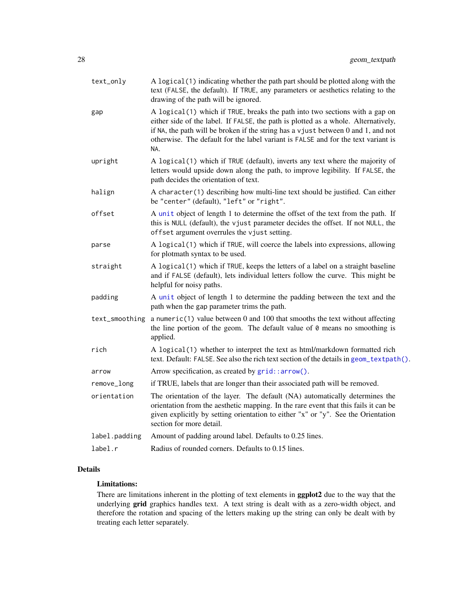<span id="page-27-0"></span>

| text_only      | A logical (1) indicating whether the path part should be plotted along with the<br>text (FALSE, the default). If TRUE, any parameters or aesthetics relating to the<br>drawing of the path will be ignored.                                                                                                                                        |  |
|----------------|----------------------------------------------------------------------------------------------------------------------------------------------------------------------------------------------------------------------------------------------------------------------------------------------------------------------------------------------------|--|
| gap            | A logical(1) which if TRUE, breaks the path into two sections with a gap on<br>either side of the label. If FALSE, the path is plotted as a whole. Alternatively,<br>if NA, the path will be broken if the string has a vjust between 0 and 1, and not<br>otherwise. The default for the label variant is FALSE and for the text variant is<br>NA. |  |
| upright        | A logical(1) which if TRUE (default), inverts any text where the majority of<br>letters would upside down along the path, to improve legibility. If FALSE, the<br>path decides the orientation of text.                                                                                                                                            |  |
| halign         | A character(1) describing how multi-line text should be justified. Can either<br>be "center" (default), "left" or "right".                                                                                                                                                                                                                         |  |
| offset         | A unit object of length 1 to determine the offset of the text from the path. If<br>this is NULL (default), the vjust parameter decides the offset. If not NULL, the<br>offset argument overrules the vjust setting.                                                                                                                                |  |
| parse          | A logical (1) which if TRUE, will coerce the labels into expressions, allowing<br>for plotmath syntax to be used.                                                                                                                                                                                                                                  |  |
| straight       | A logical(1) which if TRUE, keeps the letters of a label on a straight baseline<br>and if FALSE (default), lets individual letters follow the curve. This might be<br>helpful for noisy paths.                                                                                                                                                     |  |
| padding        | A unit object of length 1 to determine the padding between the text and the<br>path when the gap parameter trims the path.                                                                                                                                                                                                                         |  |
| text_smoothing | a numeric(1) value between $0$ and $100$ that smooths the text without affecting<br>the line portion of the geom. The default value of $\theta$ means no smoothing is<br>applied.                                                                                                                                                                  |  |
| rich           | A logical(1) whether to interpret the text as html/markdown formatted rich<br>text. Default: FALSE. See also the rich text section of the details in geom_textpath().                                                                                                                                                                              |  |
| arrow          | Arrow specification, as created by grid::arrow().                                                                                                                                                                                                                                                                                                  |  |
| remove_long    | if TRUE, labels that are longer than their associated path will be removed.                                                                                                                                                                                                                                                                        |  |
| orientation    | The orientation of the layer. The default (NA) automatically determines the<br>orientation from the aesthetic mapping. In the rare event that this fails it can be<br>given explicitly by setting orientation to either "x" or "y". See the Orientation<br>section for more detail.                                                                |  |
| label.padding  | Amount of padding around label. Defaults to 0.25 lines.                                                                                                                                                                                                                                                                                            |  |
| label.r        | Radius of rounded corners. Defaults to 0.15 lines.                                                                                                                                                                                                                                                                                                 |  |

# Details

# Limitations:

There are limitations inherent in the plotting of text elements in ggplot2 due to the way that the underlying grid graphics handles text. A text string is dealt with as a zero-width object, and therefore the rotation and spacing of the letters making up the string can only be dealt with by treating each letter separately.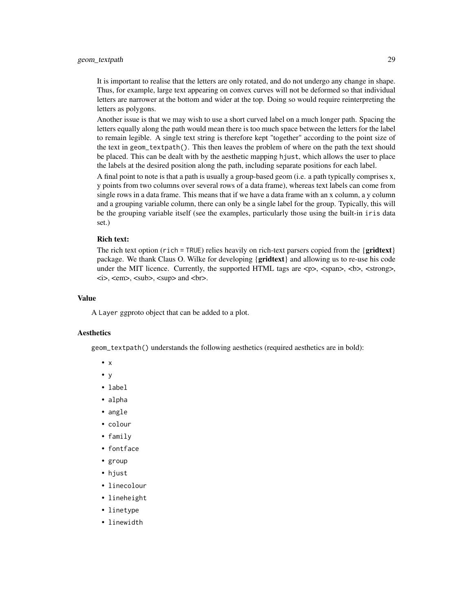# geom\_textpath 29

It is important to realise that the letters are only rotated, and do not undergo any change in shape. Thus, for example, large text appearing on convex curves will not be deformed so that individual letters are narrower at the bottom and wider at the top. Doing so would require reinterpreting the letters as polygons.

Another issue is that we may wish to use a short curved label on a much longer path. Spacing the letters equally along the path would mean there is too much space between the letters for the label to remain legible. A single text string is therefore kept "together" according to the point size of the text in geom\_textpath(). This then leaves the problem of where on the path the text should be placed. This can be dealt with by the aesthetic mapping hjust, which allows the user to place the labels at the desired position along the path, including separate positions for each label.

A final point to note is that a path is usually a group-based geom (i.e. a path typically comprises x, y points from two columns over several rows of a data frame), whereas text labels can come from single rows in a data frame. This means that if we have a data frame with an x column, a y column and a grouping variable column, there can only be a single label for the group. Typically, this will be the grouping variable itself (see the examples, particularly those using the built-in iris data set.)

### Rich text:

The rich text option (rich = TRUE) relies heavily on rich-text parsers copied from the  $\{ \text{gridtext}} \}$ package. We thank Claus O. Wilke for developing {gridtext} and allowing us to re-use his code under the MIT licence. Currently, the supported HTML tags are  $\langle p \rangle$ ,  $\langle \langle s p \rangle$ ,  $\langle \langle s p \rangle$ ,  $\langle \langle s p \rangle$ ,  $\langle \langle s p \rangle$ ,  $\langle \langle s p \rangle$  $\langle$ i>,  $\langle$ em>,  $\langle$ sub>,  $\langle$ sup> and  $\langle$ br>.

#### Value

A Layer ggproto object that can be added to a plot.

# Aesthetics

geom\_textpath() understands the following aesthetics (required aesthetics are in bold):

- $\bullet$  x
- y
- label
- alpha
- angle
- colour
- family
- fontface
- group
- hjust
- linecolour
- lineheight
- linetype
- linewidth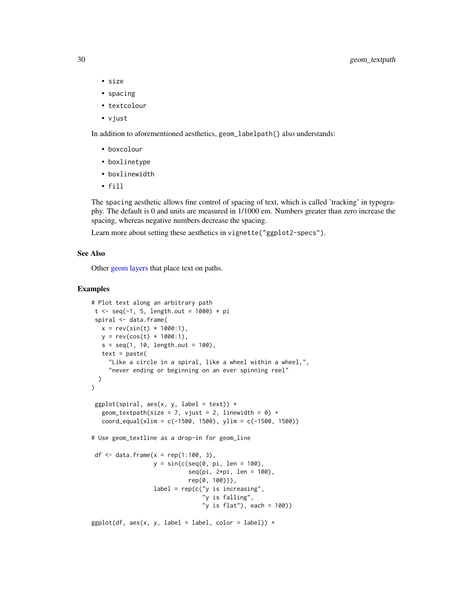- <span id="page-29-0"></span>• size
- spacing
- textcolour
- vjust

In addition to aforementioned aesthetics, geom\_labelpath() also understands:

- boxcolour
- boxlinetype
- boxlinewidth
- fill

The spacing aesthetic allows fine control of spacing of text, which is called 'tracking' in typography. The default is 0 and units are measured in 1/1000 em. Numbers greater than zero increase the spacing, whereas negative numbers decrease the spacing.

Learn more about setting these aesthetics in vignette("ggplot2-specs").

#### See Also

Other [geom layers](#page-42-1) that place text on paths.

#### Examples

```
# Plot text along an arbitrary path
t < - seq(-1, 5, length.out = 1000) * pi
spiral <- data.frame(
  x = rev(sin(t) * 1000:1),
  y = rev(cos(t) * 1000:1),s = seq(1, 10, length.out = 100),
  text = paste("Like a circle in a spiral, like a wheel within a wheel,",
     "never ending or beginning on an ever spinning reel"
 )
\mathcal{L}ggplot(spiral, aes(x, y, label = text)) +geom_textpath(size = 7, vjust = 2, linewidth = \theta) +
   coord_equal(xlim = c(-1500, 1500), ylim = c(-1500, 1500))# Use geom_textline as a drop-in for geom_line
df <- data.frame(x = rep(1:100, 3),
                  y = sin(c(seq(0, pi, len = 100)),seq(pi, 2*pi, len = 100),
                            rep(0, 100))),
                  label = rep(c("y is increasing","y is falling",
                                "y is flat"), each = 100))
ggplot(df, aes(x, y, label = label, color = label)) +
```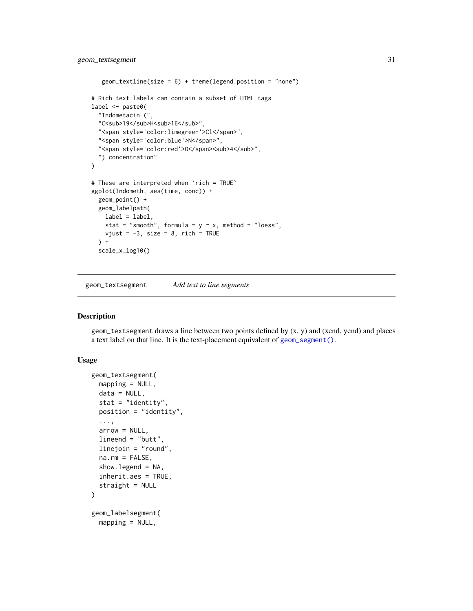```
geom\_textline(size = 6) + theme(legend.position = "none")# Rich text labels can contain a subset of HTML tags
label <- paste0(
  "Indometacin (",
  "C<sub>19</sub>H<sub>16</sub>",
  "<span style='color:limegreen'>Cl</span>",
  "<span style='color:blue'>N</span>",
  "<span style='color:red'>0</span><sub>4</sub>",
  ") concentration"
)
# These are interpreted when `rich = TRUE`
ggplot(Indometh, aes(time, conc)) +
  geom_point() +
  geom_labelpath(
   label = label,
   stat = "smooth", formula = y \sim x, method = "loess",
   vjust = -3, size = 8, rich = TRUE
  ) +scale_x_log10()
```
<span id="page-30-1"></span>geom\_textsegment *Add text to line segments*

#### <span id="page-30-2"></span>Description

geom\_textsegment draws a line between two points defined by (x, y) and (xend, yend) and places a text label on that line. It is the text-placement equivalent of [geom\\_segment\(\)](#page-0-0).

```
geom_textsegment(
 mapping = NULL,
 data = NULL,
  stat = "identity",
 position = "identity",
  ...,
  arrow = NULL,
  lineend = "butt",
  linejoin = "round",
 na.rm = FALSE,show.legend = NA,
  inherit.aes = TRUE,
  straight = NULL
)
geom_labelsegment(
 mapping = NULL,
```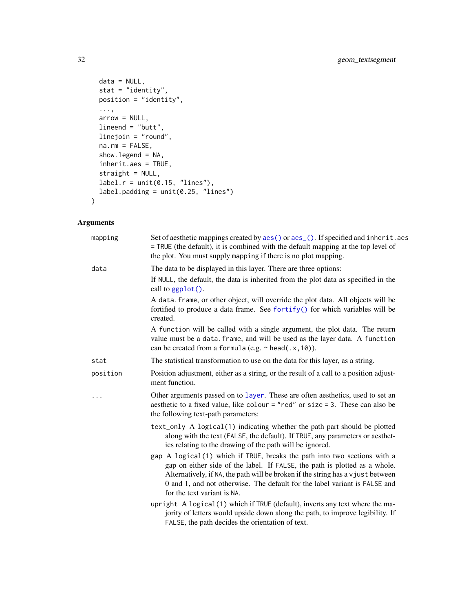```
data = NULL,stat = "identity",
 position = "identity",
 ...,
 arrow = NULL,
 lineend = "butt",
 linejoin = "round",
 na.rm = FALSE,show.legend = NA,
 inherit.aes = TRUE,
 straight = NULL,
 label.r = unit(0.15, 'lines'),label.padding = unit(0.25, 'lines')\mathcal{L}
```

| mapping  | Set of aesthetic mappings created by aes() or aes_(). If specified and inherit.aes<br>= TRUE (the default), it is combined with the default mapping at the top level of<br>the plot. You must supply mapping if there is no plot mapping.                                                                                                              |
|----------|--------------------------------------------------------------------------------------------------------------------------------------------------------------------------------------------------------------------------------------------------------------------------------------------------------------------------------------------------------|
| data     | The data to be displayed in this layer. There are three options:<br>If NULL, the default, the data is inherited from the plot data as specified in the<br>call to $ggplot()$ .                                                                                                                                                                         |
|          | A data. frame, or other object, will override the plot data. All objects will be<br>fortified to produce a data frame. See fortify() for which variables will be<br>created.                                                                                                                                                                           |
|          | A function will be called with a single argument, the plot data. The return<br>value must be a data. frame, and will be used as the layer data. A function<br>can be created from a formula (e.g. ~ head(.x, 10)).                                                                                                                                     |
| stat     | The statistical transformation to use on the data for this layer, as a string.                                                                                                                                                                                                                                                                         |
| position | Position adjustment, either as a string, or the result of a call to a position adjust-<br>ment function.                                                                                                                                                                                                                                               |
| .        | Other arguments passed on to layer. These are often aesthetics, used to set an<br>aesthetic to a fixed value, like colour = "red" or size = 3. These can also be<br>the following text-path parameters:                                                                                                                                                |
|          | text_only A logical(1) indicating whether the path part should be plotted<br>along with the text (FALSE, the default). If TRUE, any parameters or aesthet-<br>ics relating to the drawing of the path will be ignored.                                                                                                                                 |
|          | gap A logical(1) which if TRUE, breaks the path into two sections with a<br>gap on either side of the label. If FALSE, the path is plotted as a whole.<br>Alternatively, if NA, the path will be broken if the string has a vjust between<br>0 and 1, and not otherwise. The default for the label variant is FALSE and<br>for the text variant is NA. |
|          | upright A logical (1) which if TRUE (default), inverts any text where the ma-<br>jority of letters would upside down along the path, to improve legibility. If<br>FALSE, the path decides the orientation of text.                                                                                                                                     |

<span id="page-31-0"></span>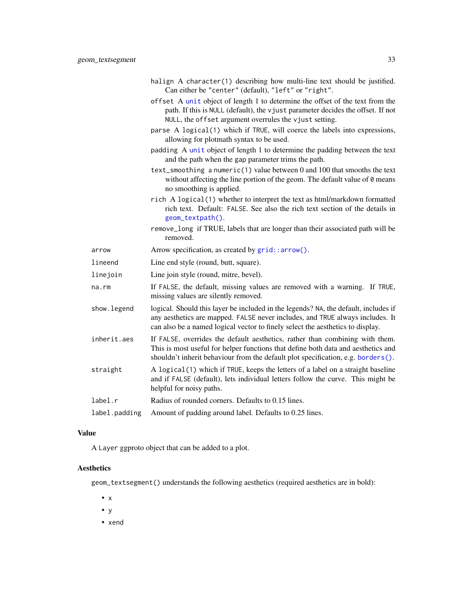<span id="page-32-0"></span>

|               | halign A character(1) describing how multi-line text should be justified.<br>Can either be "center" (default), "left" or "right".                                                                                                                      |
|---------------|--------------------------------------------------------------------------------------------------------------------------------------------------------------------------------------------------------------------------------------------------------|
|               | offset A unit object of length 1 to determine the offset of the text from the<br>path. If this is NULL (default), the vjust parameter decides the offset. If not<br>NULL, the offset argument overrules the vjust setting.                             |
|               | parse A logical(1) which if TRUE, will coerce the labels into expressions,<br>allowing for plotmath syntax to be used.                                                                                                                                 |
|               | padding A unit object of length 1 to determine the padding between the text<br>and the path when the gap parameter trims the path.                                                                                                                     |
|               | text_smoothing a numeric(1) value between 0 and 100 that smooths the text<br>without affecting the line portion of the geom. The default value of $\theta$ means<br>no smoothing is applied.                                                           |
|               | rich A logical(1) whether to interpret the text as html/markdown formatted<br>rich text. Default: FALSE. See also the rich text section of the details in<br>geom_textpath().                                                                          |
|               | remove_long if TRUE, labels that are longer than their associated path will be<br>removed.                                                                                                                                                             |
| arrow         | Arrow specification, as created by grid::arrow().                                                                                                                                                                                                      |
| lineend       | Line end style (round, butt, square).                                                                                                                                                                                                                  |
| linejoin      | Line join style (round, mitre, bevel).                                                                                                                                                                                                                 |
| $na$ . $rm$   | If FALSE, the default, missing values are removed with a warning. If TRUE,<br>missing values are silently removed.                                                                                                                                     |
| show.legend   | logical. Should this layer be included in the legends? NA, the default, includes if<br>any aesthetics are mapped. FALSE never includes, and TRUE always includes. It<br>can also be a named logical vector to finely select the aesthetics to display. |
| inherit.aes   | If FALSE, overrides the default aesthetics, rather than combining with them.<br>This is most useful for helper functions that define both data and aesthetics and<br>shouldn't inherit behaviour from the default plot specification, e.g. borders().  |
| straight      | A logical (1) which if TRUE, keeps the letters of a label on a straight baseline<br>and if FALSE (default), lets individual letters follow the curve. This might be<br>helpful for noisy paths.                                                        |
| label.r       | Radius of rounded corners. Defaults to 0.15 lines.                                                                                                                                                                                                     |
| label.padding | Amount of padding around label. Defaults to 0.25 lines.                                                                                                                                                                                                |

# Value

A Layer ggproto object that can be added to a plot.

# Aesthetics

geom\_textsegment() understands the following aesthetics (required aesthetics are in bold):

- x
- y • xend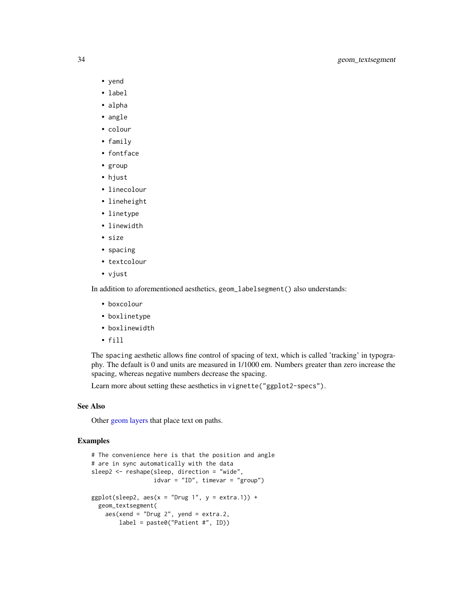- yend
- label
- alpha
- angle
- colour
- family
- fontface
- group
- hjust
- linecolour
- lineheight
- linetype
- linewidth
- size
- spacing
- textcolour
- vjust

In addition to aforementioned aesthetics, geom\_labelsegment() also understands:

- boxcolour
- boxlinetype
- boxlinewidth
- fill

The spacing aesthetic allows fine control of spacing of text, which is called 'tracking' in typography. The default is 0 and units are measured in 1/1000 em. Numbers greater than zero increase the spacing, whereas negative numbers decrease the spacing.

Learn more about setting these aesthetics in vignette("ggplot2-specs").

# See Also

Other [geom layers](#page-42-1) that place text on paths.

#### Examples

```
# The convenience here is that the position and angle
# are in sync automatically with the data
sleep2 <- reshape(sleep, direction = "wide",
                 idvar = "ID", timevar = "group")
ggplot(sleep2, aes(x = "Drug 1", y = extra.1)) +geom_textsegment(
   aes(xend = "Drug 2", yend = extra.2,label = paste0("Patient #", ID))
```
<span id="page-33-0"></span>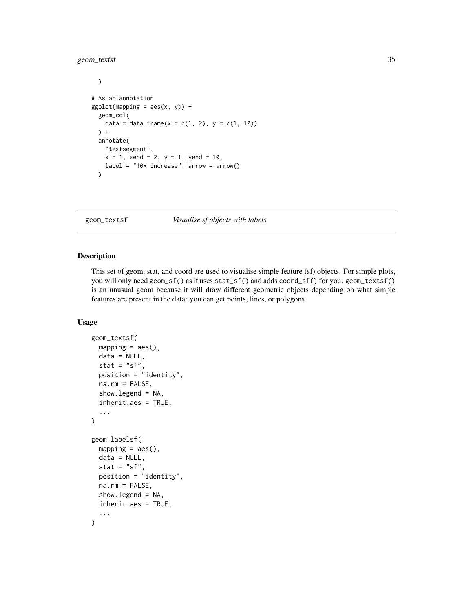# <span id="page-34-0"></span>geom\_textsf 35

```
)
# As an annotation
ggplot(mapping = aes(x, y)) +geom_col(
   data = data.frame(x = c(1, 2), y = c(1, 10))
 ) +
 annotate(
   "textsegment",
   x = 1, xend = 2, y = 1, yend = 10,
   label = "10x increase", arrow = arrow()\lambda
```
#### <span id="page-34-1"></span>geom\_textsf *Visualise sf objects with labels*

#### <span id="page-34-2"></span>Description

This set of geom, stat, and coord are used to visualise simple feature (sf) objects. For simple plots, you will only need geom\_sf() as it uses stat\_sf() and adds coord\_sf() for you. geom\_textsf() is an unusual geom because it will draw different geometric objects depending on what simple features are present in the data: you can get points, lines, or polygons.

```
geom_textsf(
  mapping = acs(),data = NULL,stat = "sf",
  position = "identity",
  na.rm = FALSE,show.legend = NA,
  inherit.aes = TRUE,
  ...
\lambdageom_labelsf(
  mapping = acs(),data = NULL,stat = "sf",
  position = "identity",
  na.rm = FALSE,
  show.legend = NA,
  inherit.aes = TRUE,
  ...
)
```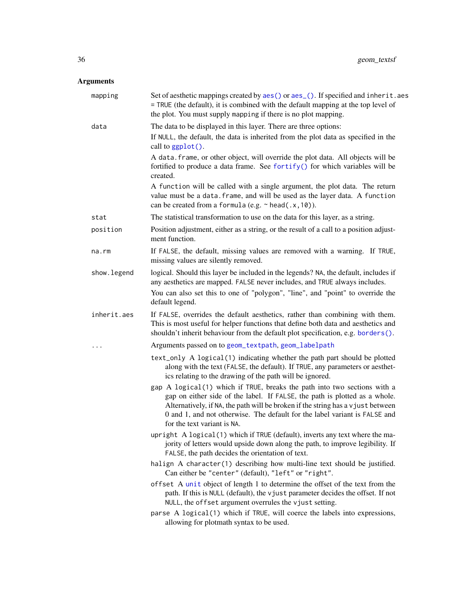<span id="page-35-0"></span>

| mapping     | Set of aesthetic mappings created by aes() or aes_(). If specified and inherit.aes<br>= TRUE (the default), it is combined with the default mapping at the top level of<br>the plot. You must supply mapping if there is no plot mapping.                                                                                                              |  |
|-------------|--------------------------------------------------------------------------------------------------------------------------------------------------------------------------------------------------------------------------------------------------------------------------------------------------------------------------------------------------------|--|
| data        | The data to be displayed in this layer. There are three options:                                                                                                                                                                                                                                                                                       |  |
|             | If NULL, the default, the data is inherited from the plot data as specified in the<br>call to ggplot().                                                                                                                                                                                                                                                |  |
|             | A data. frame, or other object, will override the plot data. All objects will be<br>fortified to produce a data frame. See fortify() for which variables will be<br>created.                                                                                                                                                                           |  |
|             | A function will be called with a single argument, the plot data. The return<br>value must be a data. frame, and will be used as the layer data. A function<br>can be created from a formula (e.g. $\sim$ head(.x, 10)).                                                                                                                                |  |
| stat        | The statistical transformation to use on the data for this layer, as a string.                                                                                                                                                                                                                                                                         |  |
| position    | Position adjustment, either as a string, or the result of a call to a position adjust-<br>ment function.                                                                                                                                                                                                                                               |  |
| na.rm       | If FALSE, the default, missing values are removed with a warning. If TRUE,<br>missing values are silently removed.                                                                                                                                                                                                                                     |  |
| show.legend | logical. Should this layer be included in the legends? NA, the default, includes if<br>any aesthetics are mapped. FALSE never includes, and TRUE always includes.                                                                                                                                                                                      |  |
|             | You can also set this to one of "polygon", "line", and "point" to override the<br>default legend.                                                                                                                                                                                                                                                      |  |
| inherit.aes | If FALSE, overrides the default aesthetics, rather than combining with them.<br>This is most useful for helper functions that define both data and aesthetics and<br>shouldn't inherit behaviour from the default plot specification, e.g. borders().                                                                                                  |  |
| $\cdots$    | Arguments passed on to geom_textpath, geom_labelpath                                                                                                                                                                                                                                                                                                   |  |
|             | text_only A logical(1) indicating whether the path part should be plotted<br>along with the text (FALSE, the default). If TRUE, any parameters or aesthet-<br>ics relating to the drawing of the path will be ignored.                                                                                                                                 |  |
|             | gap A logical(1) which if TRUE, breaks the path into two sections with a<br>gap on either side of the label. If FALSE, the path is plotted as a whole.<br>Alternatively, if NA, the path will be broken if the string has a vjust between<br>0 and 1, and not otherwise. The default for the label variant is FALSE and<br>for the text variant is NA. |  |
|             | upright A logical(1) which if TRUE (default), inverts any text where the ma-<br>jority of letters would upside down along the path, to improve legibility. If<br>FALSE, the path decides the orientation of text.                                                                                                                                      |  |
|             | halign A character(1) describing how multi-line text should be justified.<br>Can either be "center" (default), "left" or "right".                                                                                                                                                                                                                      |  |
|             | offset A unit object of length 1 to determine the offset of the text from the<br>path. If this is NULL (default), the vjust parameter decides the offset. If not<br>NULL, the offset argument overrules the vjust setting.                                                                                                                             |  |
|             | parse A logical(1) which if TRUE, will coerce the labels into expressions,<br>allowing for plotmath syntax to be used.                                                                                                                                                                                                                                 |  |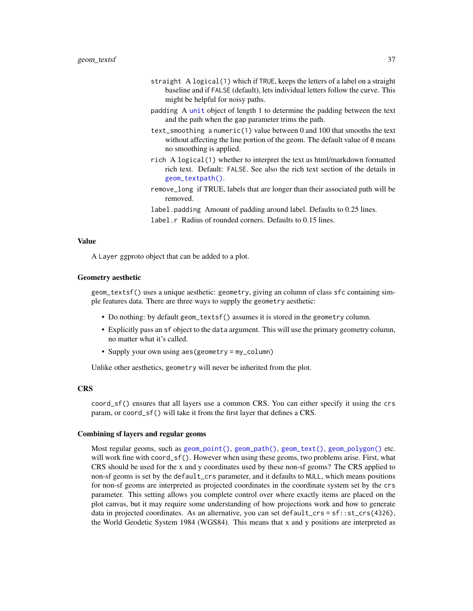- <span id="page-36-0"></span>straight A logical(1) which if TRUE, keeps the letters of a label on a straight baseline and if FALSE (default), lets individual letters follow the curve. This might be helpful for noisy paths.
- padding A [unit](#page-0-0) object of length 1 to determine the padding between the text and the path when the gap parameter trims the path.
- text\_smoothing a numeric(1) value between 0 and 100 that smooths the text without affecting the line portion of the geom. The default value of  $\theta$  means no smoothing is applied.
- rich A logical(1) whether to interpret the text as html/markdown formatted rich text. Default: FALSE. See also the rich text section of the details in [geom\\_textpath\(\)](#page-24-1).
- remove\_long if TRUE, labels that are longer than their associated path will be removed.
- label.padding Amount of padding around label. Defaults to 0.25 lines.
- label.r Radius of rounded corners. Defaults to 0.15 lines.

#### Value

A Layer ggproto object that can be added to a plot.

#### Geometry aesthetic

geom\_textsf() uses a unique aesthetic: geometry, giving an column of class sfc containing simple features data. There are three ways to supply the geometry aesthetic:

- Do nothing: by default geom\_textsf() assumes it is stored in the geometry column.
- Explicitly pass an sf object to the data argument. This will use the primary geometry column, no matter what it's called.
- Supply your own using aes(geometry = my\_column)

Unlike other aesthetics, geometry will never be inherited from the plot.

#### CRS

coord\_sf() ensures that all layers use a common CRS. You can either specify it using the crs param, or coord\_sf() will take it from the first layer that defines a CRS.

#### Combining sf layers and regular geoms

Most regular geoms, such as [geom\\_point\(\)](#page-0-0), [geom\\_path\(\)](#page-0-0), [geom\\_text\(\)](#page-0-0), [geom\\_polygon\(\)](#page-0-0) etc. will work fine with coord\_sf(). However when using these geoms, two problems arise. First, what CRS should be used for the x and y coordinates used by these non-sf geoms? The CRS applied to non-sf geoms is set by the default\_crs parameter, and it defaults to NULL, which means positions for non-sf geoms are interpreted as projected coordinates in the coordinate system set by the crs parameter. This setting allows you complete control over where exactly items are placed on the plot canvas, but it may require some understanding of how projections work and how to generate data in projected coordinates. As an alternative, you can set default\_crs = sf::st\_crs(4326), the World Geodetic System 1984 (WGS84). This means that x and y positions are interpreted as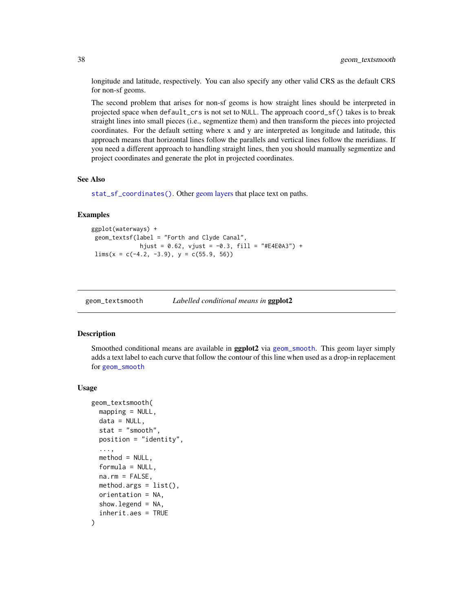longitude and latitude, respectively. You can also specify any other valid CRS as the default CRS for non-sf geoms.

The second problem that arises for non-sf geoms is how straight lines should be interpreted in projected space when default\_crs is not set to NULL. The approach coord\_sf() takes is to break straight lines into small pieces (i.e., segmentize them) and then transform the pieces into projected coordinates. For the default setting where x and y are interpreted as longitude and latitude, this approach means that horizontal lines follow the parallels and vertical lines follow the meridians. If you need a different approach to handling straight lines, then you should manually segmentize and project coordinates and generate the plot in projected coordinates.

#### See Also

[stat\\_sf\\_coordinates\(\)](#page-0-0). Other [geom layers](#page-42-1) that place text on paths.

#### Examples

```
ggplot(waterways) +
geom_textsf(label = "Forth and Clyde Canal",
             hjust = 0.62, vjust = -0.3, fill = "#E4E0A3") +
 lims(x = c(-4.2, -3.9), y = c(55.9, 56))
```
<span id="page-37-1"></span>geom\_textsmooth *Labelled conditional means in* ggplot2

#### <span id="page-37-2"></span>**Description**

Smoothed conditional means are available in **ggplot2** via [geom\\_smooth](#page-0-0). This geom layer simply adds a text label to each curve that follow the contour of this line when used as a drop-in replacement for [geom\\_smooth](#page-0-0)

```
geom_textsmooth(
 mapping = NULL,
  data = NULL,stat = "smooth",position = "identity",
  ...,
  method = NULL,formula = NULL,
  na.rm = FALSE,method.args = list(),
  orientation = NA,
  show.legend = NA,
  inherit.aes = TRUE
)
```
<span id="page-37-0"></span>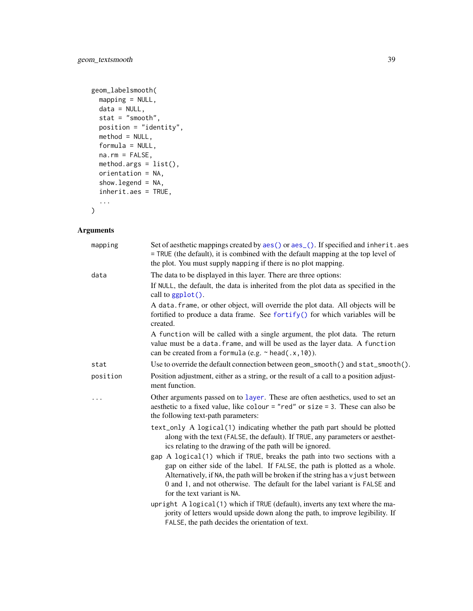```
geom_labelsmooth(
 mapping = NULL,
 data = NULL,stat = "smooth",
 position = "identity",
 method = NULL,
 formula = NULL,
 na.rm = FALSE,method.args = list(),
 orientation = NA,
 show.legend = NA,
 inherit.aes = TRUE,
  ...
```
 $\mathcal{L}$ 

| mapping  | Set of aesthetic mappings created by $aes()$ or $aes()$ . If specified and inherit. aes<br>= TRUE (the default), it is combined with the default mapping at the top level of<br>the plot. You must supply mapping if there is no plot mapping.                                                                                                         |
|----------|--------------------------------------------------------------------------------------------------------------------------------------------------------------------------------------------------------------------------------------------------------------------------------------------------------------------------------------------------------|
| data     | The data to be displayed in this layer. There are three options:                                                                                                                                                                                                                                                                                       |
|          | If NULL, the default, the data is inherited from the plot data as specified in the<br>call to ggplot().                                                                                                                                                                                                                                                |
|          | A data. frame, or other object, will override the plot data. All objects will be<br>fortified to produce a data frame. See fortify() for which variables will be<br>created.                                                                                                                                                                           |
|          | A function will be called with a single argument, the plot data. The return<br>value must be a data. frame, and will be used as the layer data. A function<br>can be created from a formula (e.g. $\sim$ head(.x, 10)).                                                                                                                                |
| stat     | Use to override the default connection between geom_smooth() and stat_smooth().                                                                                                                                                                                                                                                                        |
| position | Position adjustment, either as a string, or the result of a call to a position adjust-<br>ment function.                                                                                                                                                                                                                                               |
| $\cdots$ | Other arguments passed on to layer. These are often aesthetics, used to set an<br>aesthetic to a fixed value, like colour = "red" or size = 3. These can also be<br>the following text-path parameters:                                                                                                                                                |
|          | text_only A logical(1) indicating whether the path part should be plotted<br>along with the text (FALSE, the default). If TRUE, any parameters or aesthet-<br>ics relating to the drawing of the path will be ignored.                                                                                                                                 |
|          | gap A logical(1) which if TRUE, breaks the path into two sections with a<br>gap on either side of the label. If FALSE, the path is plotted as a whole.<br>Alternatively, if NA, the path will be broken if the string has a vjust between<br>0 and 1, and not otherwise. The default for the label variant is FALSE and<br>for the text variant is NA. |
|          | upright A logical (1) which if TRUE (default), inverts any text where the ma-<br>jority of letters would upside down along the path, to improve legibility. If<br>FALSE, the path decides the orientation of text.                                                                                                                                     |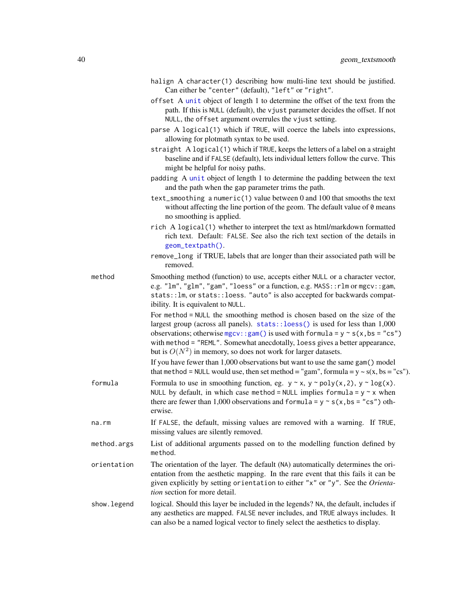<span id="page-39-0"></span>

|             | halign A character(1) describing how multi-line text should be justified.<br>Can either be "center" (default), "left" or "right".                                                                                                                                                                                                                                                                      |
|-------------|--------------------------------------------------------------------------------------------------------------------------------------------------------------------------------------------------------------------------------------------------------------------------------------------------------------------------------------------------------------------------------------------------------|
|             | offset A unit object of length 1 to determine the offset of the text from the<br>path. If this is NULL (default), the vjust parameter decides the offset. If not<br>NULL, the offset argument overrules the vjust setting.                                                                                                                                                                             |
|             | parse A logical(1) which if TRUE, will coerce the labels into expressions,<br>allowing for plotmath syntax to be used.                                                                                                                                                                                                                                                                                 |
|             | straight Alogical(1) which if TRUE, keeps the letters of a label on a straight<br>baseline and if FALSE (default), lets individual letters follow the curve. This<br>might be helpful for noisy paths.                                                                                                                                                                                                 |
|             | padding A unit object of length 1 to determine the padding between the text<br>and the path when the gap parameter trims the path.                                                                                                                                                                                                                                                                     |
|             | text_smoothing a numeric(1) value between 0 and 100 that smooths the text<br>without affecting the line portion of the geom. The default value of $\theta$ means<br>no smoothing is applied.                                                                                                                                                                                                           |
|             | rich A logical(1) whether to interpret the text as html/markdown formatted<br>rich text. Default: FALSE. See also the rich text section of the details in<br>geom_textpath().                                                                                                                                                                                                                          |
|             | remove_long if TRUE, labels that are longer than their associated path will be<br>removed.                                                                                                                                                                                                                                                                                                             |
| method      | Smoothing method (function) to use, accepts either NULL or a character vector,<br>e.g. "lm", "glm", "gam", "loess" or a function, e.g. MASS:: rlm or mgcv:: gam,<br>stats:: lm, or stats:: loess. "auto" is also accepted for backwards compat-<br>ibility. It is equivalent to NULL.                                                                                                                  |
|             | For method = NULL the smoothing method is chosen based on the size of the<br>largest group (across all panels). stats::loess() is used for less than 1,000<br>observations; otherwise mgcv:: gam() is used with formula = $y \sim s(x, bs = "cs")$<br>with method = "REML". Somewhat anecdotally, loess gives a better appearance,<br>but is $O(N^2)$ in memory, so does not work for larger datasets. |
|             | If you have fewer than 1,000 observations but want to use the same gam() model<br>that method = NULL would use, then set method = "gam", formula = $y \sim s(x, bs = "cs")$ .                                                                                                                                                                                                                          |
| formula     | Formula to use in smoothing function, eg. $y \sim x$ , $y \sim poly(x, 2)$ , $y \sim log(x)$ .<br>NULL by default, in which case method = NULL implies formula = $y \sim x$ when<br>there are fewer than 1,000 observations and formula = $y \sim s(x, bs = "cs")$ oth-<br>erwise.                                                                                                                     |
| na.rm       | If FALSE, the default, missing values are removed with a warning. If TRUE,<br>missing values are silently removed.                                                                                                                                                                                                                                                                                     |
| method.args | List of additional arguments passed on to the modelling function defined by<br>method.                                                                                                                                                                                                                                                                                                                 |
| orientation | The orientation of the layer. The default (NA) automatically determines the ori-<br>entation from the aesthetic mapping. In the rare event that this fails it can be<br>given explicitly by setting orientation to either "x" or "y". See the Orienta-<br>tion section for more detail.                                                                                                                |
| show.legend | logical. Should this layer be included in the legends? NA, the default, includes if<br>any aesthetics are mapped. FALSE never includes, and TRUE always includes. It<br>can also be a named logical vector to finely select the aesthetics to display.                                                                                                                                                 |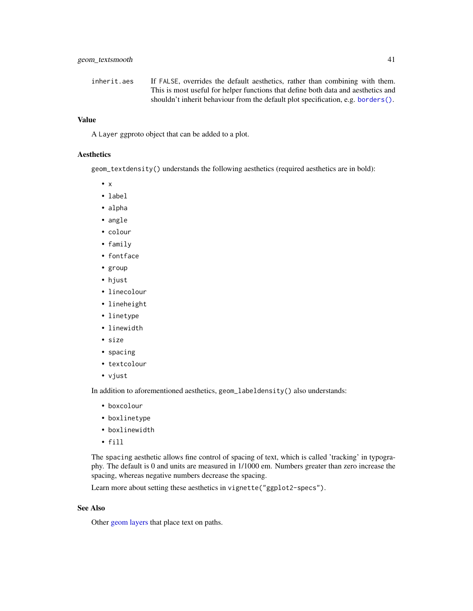# <span id="page-40-0"></span>geom\_textsmooth 41

inherit.aes If FALSE, overrides the default aesthetics, rather than combining with them. This is most useful for helper functions that define both data and aesthetics and shouldn't inherit behaviour from the default plot specification, e.g. [borders\(\)](#page-0-0).

# Value

A Layer ggproto object that can be added to a plot.

# **Aesthetics**

geom\_textdensity() understands the following aesthetics (required aesthetics are in bold):

- $\bullet$  x
- label
- alpha
- angle
- colour
- family
- fontface
- group
- hjust
- linecolour
- lineheight
- linetype
- linewidth
- size
- spacing
- textcolour
- vjust

In addition to aforementioned aesthetics, geom\_labeldensity() also understands:

- boxcolour
- boxlinetype
- boxlinewidth
- fill

The spacing aesthetic allows fine control of spacing of text, which is called 'tracking' in typography. The default is 0 and units are measured in 1/1000 em. Numbers greater than zero increase the spacing, whereas negative numbers decrease the spacing.

Learn more about setting these aesthetics in vignette("ggplot2-specs").

# See Also

Other [geom layers](#page-42-1) that place text on paths.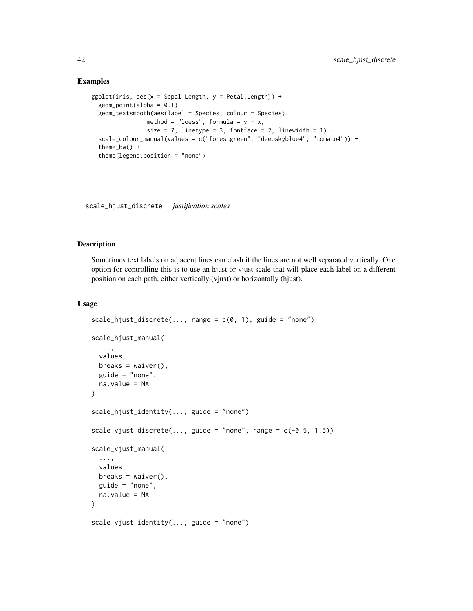#### Examples

```
ggplot(iris, aes(x = Sepal.Length, y = Petal.Length)) +
 geom\_point(alpha = 0.1) +geom_textsmooth(aes(label = Species, colour = Species),
                method = "loess", formula = y \sim x,
                size = 7, linetype = 3, fontface = 2, linewidth = 1) +
 scale_colour_manual(values = c("forestgreen", "deepskyblue4", "tomato4")) +
 theme_bw() +
 theme(legend.position = "none")
```
scale\_hjust\_discrete *justification scales*

#### Description

Sometimes text labels on adjacent lines can clash if the lines are not well separated vertically. One option for controlling this is to use an hjust or vjust scale that will place each label on a different position on each path, either vertically (vjust) or horizontally (hjust).

```
scale_hjust_discrete(..., range = c(0, 1), guide = "none")
scale_hjust_manual(
  ...,
 values,
 breaks = waiver(),
 guide = "none",na.value = NA
\lambdascale\_hjust\_identity(..., guide = "none")scale_vjust_discrete(..., guide = "none", range = c(-0.5, 1.5))
scale_vjust_manual(
  ...,
 values,
 breaks = waiver(),
 guide = "none",
 na.value = NA
\lambdascale\_vjust\_identity(..., guide = "none")
```
<span id="page-41-0"></span>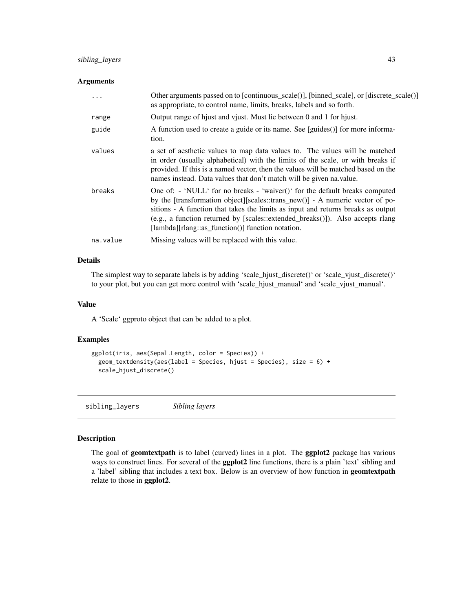# <span id="page-42-0"></span>sibling\_layers 43

#### Arguments

| .        | Other arguments passed on to [continuous_scale()], [binned_scale], or [discrete_scale()]<br>as appropriate, to control name, limits, breaks, labels and so forth.                                                                                                                                                                                                                       |
|----------|-----------------------------------------------------------------------------------------------------------------------------------------------------------------------------------------------------------------------------------------------------------------------------------------------------------------------------------------------------------------------------------------|
| range    | Output range of hjust and vjust. Must lie between 0 and 1 for hjust.                                                                                                                                                                                                                                                                                                                    |
| guide    | A function used to create a guide or its name. See [guides()] for more informa-<br>tion.                                                                                                                                                                                                                                                                                                |
| values   | a set of aesthetic values to map data values to. The values will be matched<br>in order (usually alphabetical) with the limits of the scale, or with breaks if<br>provided. If this is a named vector, then the values will be matched based on the<br>names instead. Data values that don't match will be given na value.                                                              |
| breaks   | One of: - 'NULL' for no breaks - 'waiver()' for the default breaks computed<br>by the [transformation object][scales::trans_new()] - A numeric vector of po-<br>sitions - A function that takes the limits as input and returns breaks as output<br>(e.g., a function returned by [scales::extended_breaks()]). Also accepts rlang<br>[lambda][rlang::as_function()] function notation. |
| na.value | Missing values will be replaced with this value.                                                                                                                                                                                                                                                                                                                                        |

# Details

The simplest way to separate labels is by adding 'scale\_hjust\_discrete()' or 'scale\_vjust\_discrete()' to your plot, but you can get more control with 'scale\_hjust\_manual' and 'scale\_vjust\_manual'.

### Value

A 'Scale' ggproto object that can be added to a plot.

#### Examples

```
ggplot(iris, aes(Sepal.Length, color = Species)) +
 geom_textdensity(aes(label = Species, hjust = Species), size = 6) +
 scale_hjust_discrete()
```
<span id="page-42-1"></span>sibling\_layers *Sibling layers*

#### Description

The goal of geomtextpath is to label (curved) lines in a plot. The ggplot2 package has various ways to construct lines. For several of the ggplot2 line functions, there is a plain 'text' sibling and a 'label' sibling that includes a text box. Below is an overview of how function in geomtextpath relate to those in ggplot2.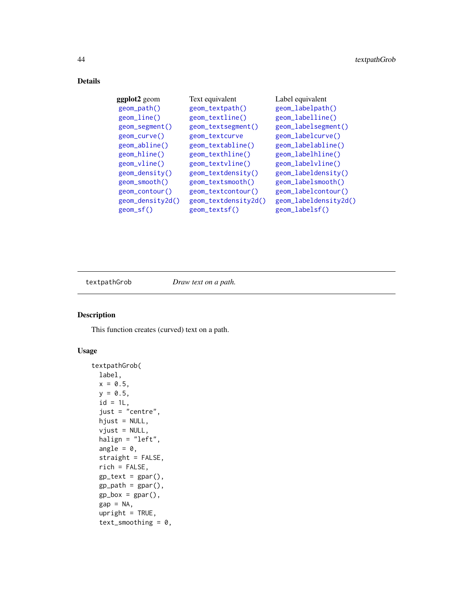# <span id="page-43-0"></span>Details

| <b>ggplot2</b> geom | Text equivalent      | Label equivalent      |
|---------------------|----------------------|-----------------------|
| geom_path()         | geom_textpath()      | geom_labelpath()      |
| geom_line()         | geom_textline()      | geom_labelline()      |
| geom_segment()      | geom_textsegment()   | geom_labelsegment()   |
| geom_curve()        | geom_textcurve       | geom_labelcurve()     |
| geom_abline()       | geom_textabline()    | geom_labelabline()    |
| geom_hline()        | geom_texthline()     | geom_labelhline()     |
| geom_vline()        | geom_textvline()     | geom_labelvline()     |
| geom_density()      | geom_textdensity()   | geom_labeldensity()   |
| geom_smooth()       | geom_textsmooth()    | geom_labelsmooth()    |
| geom_contour()      | geom_textcontour()   | geom_labelcontour()   |
| geom_density2d()    | geom_textdensity2d() | geom_labeldensity2d() |
| $geom_s(f)$         | geom_textsf()        | geom_labelsf()        |

textpathGrob *Draw text on a path.*

# Description

This function creates (curved) text on a path.

```
textpathGrob(
 label,
 x = 0.5,
 y = 0.5,
  id = 1L,just = "centre",
 hjust = NULL,
  vjust = NULL,
  halign = "left",
  angle = 0,
  straight = FALSE,
  rich = FALSE,
  gp_{text} = gpar(),
  gp_path = gpar(),
  gp\_box = gpar(),
  gap = NA,upright = TRUE,text_smoothing = 0,
```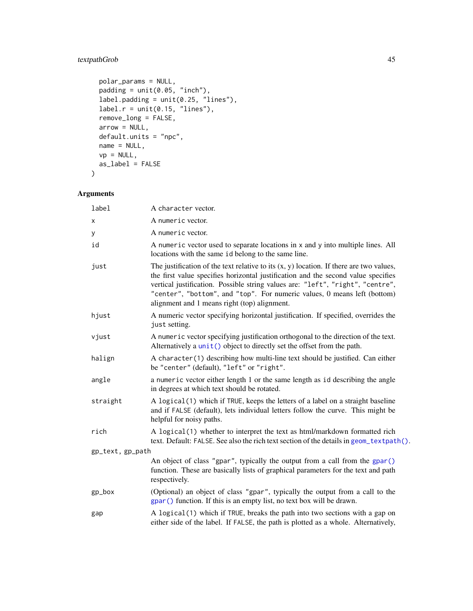# <span id="page-44-0"></span>textpathGrob 45

```
polar_params = NULL,
 padding = unit(0.05, 'inch'),
 label.padding = unit(0.25, "lines"),
 label.r = unit(0.15, 'lines'),remove_long = FALSE,
 arrow = NULL,
 default.units = "npc",
 name = NULL,vp = NULL,as_label = FALSE
\mathcal{L}
```

| label            | A character vector.                                                                                                                                                                                                                                                                                                                                                                          |  |
|------------------|----------------------------------------------------------------------------------------------------------------------------------------------------------------------------------------------------------------------------------------------------------------------------------------------------------------------------------------------------------------------------------------------|--|
| x                | A numeric vector.                                                                                                                                                                                                                                                                                                                                                                            |  |
| у                | A numeric vector.                                                                                                                                                                                                                                                                                                                                                                            |  |
| id               | A numeric vector used to separate locations in x and y into multiple lines. All<br>locations with the same id belong to the same line.                                                                                                                                                                                                                                                       |  |
| just             | The justification of the text relative to its $(x, y)$ location. If there are two values,<br>the first value specifies horizontal justification and the second value specifies<br>vertical justification. Possible string values are: "left", "right", "centre",<br>"center", "bottom", and "top". For numeric values, 0 means left (bottom)<br>alignment and 1 means right (top) alignment. |  |
| hjust            | A numeric vector specifying horizontal justification. If specified, overrides the<br>just setting.                                                                                                                                                                                                                                                                                           |  |
| vjust            | A numeric vector specifying justification orthogonal to the direction of the text.<br>Alternatively a unit() object to directly set the offset from the path.                                                                                                                                                                                                                                |  |
| halign           | A character(1) describing how multi-line text should be justified. Can either<br>be "center" (default), "left" or "right".                                                                                                                                                                                                                                                                   |  |
| angle            | a numeric vector either length 1 or the same length as id describing the angle<br>in degrees at which text should be rotated.                                                                                                                                                                                                                                                                |  |
| straight         | A logical (1) which if TRUE, keeps the letters of a label on a straight baseline<br>and if FALSE (default), lets individual letters follow the curve. This might be<br>helpful for noisy paths.                                                                                                                                                                                              |  |
| rich             | A logical(1) whether to interpret the text as html/markdown formatted rich<br>text. Default: FALSE. See also the rich text section of the details in geom_textpath().                                                                                                                                                                                                                        |  |
| gp_text, gp_path |                                                                                                                                                                                                                                                                                                                                                                                              |  |
|                  | An object of class "gpar", typically the output from a call from the gpar()<br>function. These are basically lists of graphical parameters for the text and path<br>respectively.                                                                                                                                                                                                            |  |
| gp_box           | (Optional) an object of class "gpar", typically the output from a call to the<br>gpar () function. If this is an empty list, no text box will be drawn.                                                                                                                                                                                                                                      |  |
| gap              | A logical (1) which if TRUE, breaks the path into two sections with a gap on<br>either side of the label. If FALSE, the path is plotted as a whole. Alternatively,                                                                                                                                                                                                                           |  |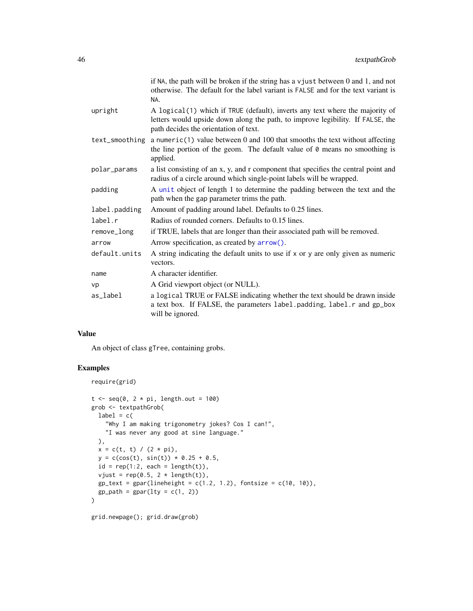<span id="page-45-0"></span>

|                | if NA, the path will be broken if the string has a vjust between 0 and 1, and not<br>otherwise. The default for the label variant is FALSE and for the text variant is<br>NA.                           |
|----------------|---------------------------------------------------------------------------------------------------------------------------------------------------------------------------------------------------------|
| upright        | A logical(1) which if TRUE (default), inverts any text where the majority of<br>letters would upside down along the path, to improve legibility. If FALSE, the<br>path decides the orientation of text. |
| text_smoothing | a numeric(1) value between $0$ and $100$ that smooths the text without affecting<br>the line portion of the geom. The default value of $\theta$ means no smoothing is<br>applied.                       |
| polar_params   | a list consisting of an x, y, and r component that specifies the central point and<br>radius of a circle around which single-point labels will be wrapped.                                              |
| padding        | A unit object of length 1 to determine the padding between the text and the<br>path when the gap parameter trims the path.                                                                              |
| label.padding  | Amount of padding around label. Defaults to 0.25 lines.                                                                                                                                                 |
| label.r        | Radius of rounded corners. Defaults to 0.15 lines.                                                                                                                                                      |
| remove_long    | if TRUE, labels that are longer than their associated path will be removed.                                                                                                                             |
| arrow          | Arrow specification, as created by arrow().                                                                                                                                                             |
| default.units  | A string indicating the default units to use if x or y are only given as numeric<br>vectors.                                                                                                            |
| name           | A character identifier.                                                                                                                                                                                 |
| vp             | A Grid viewport object (or NULL).                                                                                                                                                                       |
| as_label       | a logical TRUE or FALSE indicating whether the text should be drawn inside<br>a text box. If FALSE, the parameters label.padding, label.r and gp_box<br>will be ignored.                                |

### Value

An object of class gTree, containing grobs.

# Examples

```
require(grid)
t \leq -\text{seq}(0, 2 \times \text{pi}, \text{ length.out} = 100)grob <- textpathGrob(
 label = c("Why I am making trigonometry jokes? Cos I can!",
    "I was never any good at sine language."
 ),
  x = c(t, t) / (2 * pi),y = c(cos(t), sin(t)) * 0.25 + 0.5,id = rep(1:2, each = length(t)),vjust = rep(0.5, 2 * length(t)),gp_{text} = gpar(lineheight = c(1.2, 1.2), \text{ fontsize} = c(10, 10)),gp_path = gpar(lty = c(1, 2))\overline{)}grid.newpage(); grid.draw(grob)
```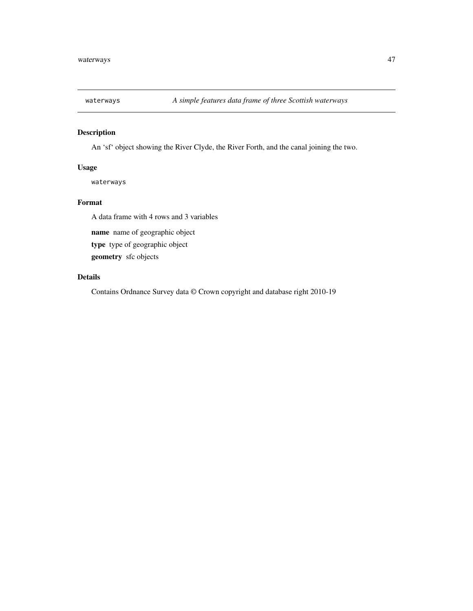<span id="page-46-0"></span>

# Description

An 'sf' object showing the River Clyde, the River Forth, and the canal joining the two.

# Usage

waterways

# Format

A data frame with 4 rows and 3 variables

name name of geographic object

type type of geographic object

geometry sfc objects

# Details

Contains Ordnance Survey data © Crown copyright and database right 2010-19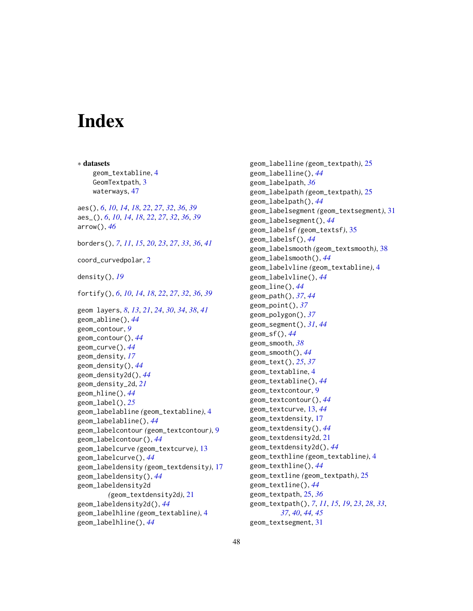# <span id="page-47-0"></span>**Index**

∗ datasets geom\_textabline, [4](#page-3-0) GeomTextpath, [3](#page-2-0) waterways, [47](#page-46-0) aes(), *[6](#page-5-0)*, *[10](#page-9-0)*, *[14](#page-13-0)*, *[18](#page-17-0)*, *[22](#page-21-0)*, *[27](#page-26-0)*, *[32](#page-31-0)*, *[36](#page-35-0)*, *[39](#page-38-0)* aes\_(), *[6](#page-5-0)*, *[10](#page-9-0)*, *[14](#page-13-0)*, *[18](#page-17-0)*, *[22](#page-21-0)*, *[27](#page-26-0)*, *[32](#page-31-0)*, *[36](#page-35-0)*, *[39](#page-38-0)* arrow(), *[46](#page-45-0)* borders(), *[7](#page-6-0)*, *[11](#page-10-0)*, *[15](#page-14-0)*, *[20](#page-19-0)*, *[23](#page-22-0)*, *[27](#page-26-0)*, *[33](#page-32-0)*, *[36](#page-35-0)*, *[41](#page-40-0)* coord\_curvedpolar, [2](#page-1-0) density(), *[19](#page-18-0)* fortify(), *[6](#page-5-0)*, *[10](#page-9-0)*, *[14](#page-13-0)*, *[18](#page-17-0)*, *[22](#page-21-0)*, *[27](#page-26-0)*, *[32](#page-31-0)*, *[36](#page-35-0)*, *[39](#page-38-0)* geom layers, *[8](#page-7-0)*, *[13](#page-12-0)*, *[21](#page-20-0)*, *[24](#page-23-0)*, *[30](#page-29-0)*, *[34](#page-33-0)*, *[38](#page-37-0)*, *[41](#page-40-0)* geom\_abline(), *[44](#page-43-0)* geom\_contour, *[9](#page-8-0)* geom\_contour(), *[44](#page-43-0)* geom\_curve(), *[44](#page-43-0)* geom\_density, *[17](#page-16-0)* geom\_density(), *[44](#page-43-0)* geom\_density2d(), *[44](#page-43-0)* geom\_density\_2d, *[21](#page-20-0)* geom\_hline(), *[44](#page-43-0)* geom\_label(), *[25](#page-24-0)* geom\_labelabline *(*geom\_textabline*)*, [4](#page-3-0) geom\_labelabline(), *[44](#page-43-0)* geom\_labelcontour *(*geom\_textcontour*)*, [9](#page-8-0) geom\_labelcontour(), *[44](#page-43-0)* geom\_labelcurve *(*geom\_textcurve*)*, [13](#page-12-0) geom\_labelcurve(), *[44](#page-43-0)* geom\_labeldensity *(*geom\_textdensity*)*, [17](#page-16-0) geom\_labeldensity(), *[44](#page-43-0)* geom\_labeldensity2d *(*geom\_textdensity2d*)*, [21](#page-20-0) geom\_labeldensity2d(), *[44](#page-43-0)* geom\_labelhline *(*geom\_textabline*)*, [4](#page-3-0) geom\_labelhline(), *[44](#page-43-0)*

geom\_labelline *(*geom\_textpath*)*, [25](#page-24-0) geom\_labelline(), *[44](#page-43-0)* geom\_labelpath, *[36](#page-35-0)* geom\_labelpath *(*geom\_textpath*)*, [25](#page-24-0) geom\_labelpath(), *[44](#page-43-0)* geom\_labelsegment *(*geom\_textsegment*)*, [31](#page-30-0) geom\_labelsegment(), *[44](#page-43-0)* geom\_labelsf *(*geom\_textsf*)*, [35](#page-34-0) geom\_labelsf(), *[44](#page-43-0)* geom\_labelsmooth *(*geom\_textsmooth*)*, [38](#page-37-0) geom\_labelsmooth(), *[44](#page-43-0)* geom\_labelvline *(*geom\_textabline*)*, [4](#page-3-0) geom\_labelvline(), *[44](#page-43-0)* geom\_line(), *[44](#page-43-0)* geom\_path(), *[37](#page-36-0)*, *[44](#page-43-0)* geom\_point(), *[37](#page-36-0)* geom\_polygon(), *[37](#page-36-0)* geom\_segment(), *[31](#page-30-0)*, *[44](#page-43-0)* geom\_sf(), *[44](#page-43-0)* geom\_smooth, *[38](#page-37-0)* geom\_smooth(), *[44](#page-43-0)* geom\_text(), *[25](#page-24-0)*, *[37](#page-36-0)* geom\_textabline, [4](#page-3-0) geom\_textabline(), *[44](#page-43-0)* geom\_textcontour, [9](#page-8-0) geom\_textcontour(), *[44](#page-43-0)* geom\_textcurve, [13,](#page-12-0) *[44](#page-43-0)* geom\_textdensity, [17](#page-16-0) geom\_textdensity(), *[44](#page-43-0)* geom\_textdensity2d, [21](#page-20-0) geom\_textdensity2d(), *[44](#page-43-0)* geom\_texthline *(*geom\_textabline*)*, [4](#page-3-0) geom\_texthline(), *[44](#page-43-0)* geom\_textline *(*geom\_textpath*)*, [25](#page-24-0) geom\_textline(), *[44](#page-43-0)* geom\_textpath, [25,](#page-24-0) *[36](#page-35-0)* geom\_textpath(), *[7](#page-6-0)*, *[11](#page-10-0)*, *[15](#page-14-0)*, *[19](#page-18-0)*, *[23](#page-22-0)*, *[28](#page-27-0)*, *[33](#page-32-0)*, *[37](#page-36-0)*, *[40](#page-39-0)*, *[44,](#page-43-0) [45](#page-44-0)* geom\_textsegment, [31](#page-30-0)